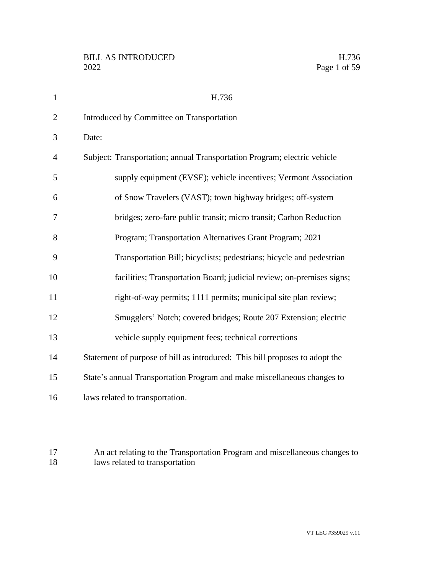| 1              | H.736                                                                       |
|----------------|-----------------------------------------------------------------------------|
| $\overline{2}$ | Introduced by Committee on Transportation                                   |
| 3              | Date:                                                                       |
| 4              | Subject: Transportation; annual Transportation Program; electric vehicle    |
| 5              | supply equipment (EVSE); vehicle incentives; Vermont Association            |
| 6              | of Snow Travelers (VAST); town highway bridges; off-system                  |
| 7              | bridges; zero-fare public transit; micro transit; Carbon Reduction          |
| 8              | Program; Transportation Alternatives Grant Program; 2021                    |
| 9              | Transportation Bill; bicyclists; pedestrians; bicycle and pedestrian        |
| 10             | facilities; Transportation Board; judicial review; on-premises signs;       |
| 11             | right-of-way permits; 1111 permits; municipal site plan review;             |
| 12             | Smugglers' Notch; covered bridges; Route 207 Extension; electric            |
| 13             | vehicle supply equipment fees; technical corrections                        |
| 14             | Statement of purpose of bill as introduced: This bill proposes to adopt the |
| 15             | State's annual Transportation Program and make miscellaneous changes to     |
| 16             | laws related to transportation.                                             |

 An act relating to the Transportation Program and miscellaneous changes to laws related to transportation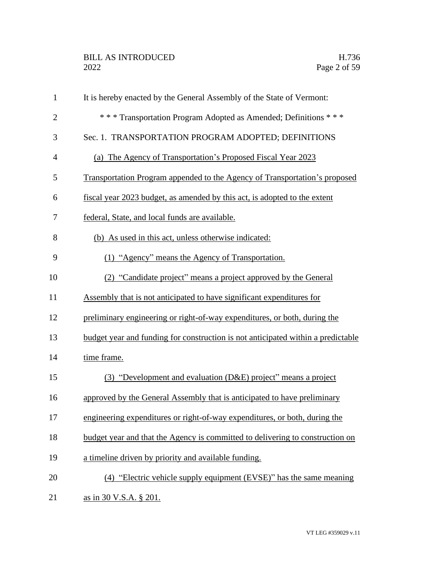| $\mathbf{1}$   | It is hereby enacted by the General Assembly of the State of Vermont:            |
|----------------|----------------------------------------------------------------------------------|
| $\overline{2}$ | *** Transportation Program Adopted as Amended; Definitions ***                   |
| 3              | Sec. 1. TRANSPORTATION PROGRAM ADOPTED; DEFINITIONS                              |
| $\overline{4}$ | (a) The Agency of Transportation's Proposed Fiscal Year 2023                     |
| 5              | Transportation Program appended to the Agency of Transportation's proposed       |
| 6              | fiscal year 2023 budget, as amended by this act, is adopted to the extent        |
| 7              | federal, State, and local funds are available.                                   |
| 8              | (b) As used in this act, unless otherwise indicated:                             |
| 9              | (1) "Agency" means the Agency of Transportation.                                 |
| 10             | (2) "Candidate project" means a project approved by the General                  |
| 11             | Assembly that is not anticipated to have significant expenditures for            |
| 12             | preliminary engineering or right-of-way expenditures, or both, during the        |
| 13             | budget year and funding for construction is not anticipated within a predictable |
| 14             | time frame.                                                                      |
| 15             | (3) "Development and evaluation (D&E) project" means a project                   |
| 16             | approved by the General Assembly that is anticipated to have preliminary         |
| 17             | engineering expenditures or right-of-way expenditures, or both, during the       |
| 18             | budget year and that the Agency is committed to delivering to construction on    |
| 19             | a timeline driven by priority and available funding.                             |
| 20             | (4) "Electric vehicle supply equipment (EVSE)" has the same meaning              |
| 21             | as in 30 V.S.A. § 201.                                                           |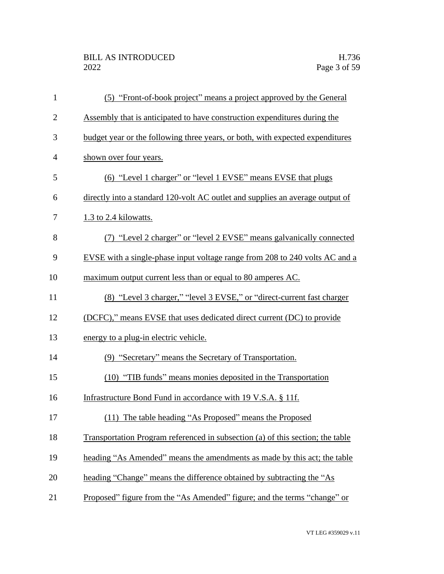## BILL AS INTRODUCED H.736<br>2022 Page 3 of 59

| $\mathbf{1}$   | (5) "Front-of-book project" means a project approved by the General            |
|----------------|--------------------------------------------------------------------------------|
| $\overline{2}$ | Assembly that is anticipated to have construction expenditures during the      |
| 3              | budget year or the following three years, or both, with expected expenditures  |
| $\overline{4}$ | shown over four years.                                                         |
| 5              | (6) "Level 1 charger" or "level 1 EVSE" means EVSE that plugs                  |
| 6              | directly into a standard 120-volt AC outlet and supplies an average output of  |
| 7              | 1.3 to 2.4 kilowatts.                                                          |
| 8              | (7) "Level 2 charger" or "level 2 EVSE" means galvanically connected           |
| 9              | EVSE with a single-phase input voltage range from 208 to 240 volts AC and a    |
| 10             | maximum output current less than or equal to 80 amperes AC.                    |
| 11             | (8) "Level 3 charger," "level 3 EVSE," or "direct-current fast charger         |
| 12             | (DCFC)," means EVSE that uses dedicated direct current (DC) to provide         |
| 13             | energy to a plug-in electric vehicle.                                          |
| 14             | (9) "Secretary" means the Secretary of Transportation.                         |
| 15             | (10) "TIB funds" means monies deposited in the Transportation                  |
| 16             | Infrastructure Bond Fund in accordance with 19 V.S.A. § 11f.                   |
| 17             | (11) The table heading "As Proposed" means the Proposed                        |
| 18             | Transportation Program referenced in subsection (a) of this section; the table |
| 19             | heading "As Amended" means the amendments as made by this act; the table       |
| 20             | heading "Change" means the difference obtained by subtracting the "As          |
| 21             | Proposed" figure from the "As Amended" figure; and the terms "change" or       |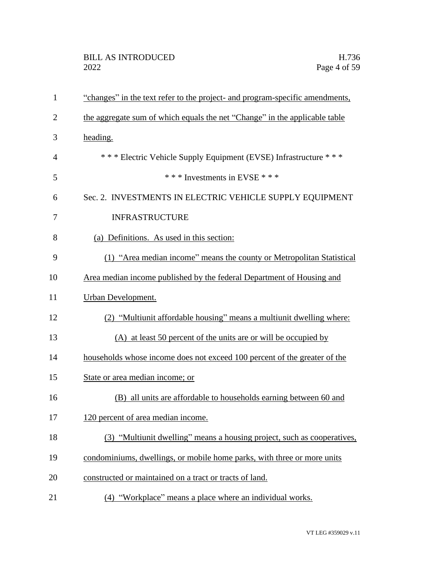| $\mathbf{1}$   | "changes" in the text refer to the project- and program-specific amendments, |
|----------------|------------------------------------------------------------------------------|
| $\overline{2}$ | the aggregate sum of which equals the net "Change" in the applicable table   |
| 3              | heading.                                                                     |
| 4              | *** Electric Vehicle Supply Equipment (EVSE) Infrastructure ***              |
| 5              | *** Investments in EVSE ***                                                  |
| 6              | Sec. 2. INVESTMENTS IN ELECTRIC VEHICLE SUPPLY EQUIPMENT                     |
| 7              | <b>INFRASTRUCTURE</b>                                                        |
| 8              | (a) Definitions. As used in this section:                                    |
| 9              | (1) "Area median income" means the county or Metropolitan Statistical        |
| 10             | Area median income published by the federal Department of Housing and        |
| 11             | Urban Development.                                                           |
| 12             | (2) "Multiunit affordable housing" means a multiunit dwelling where:         |
| 13             | (A) at least 50 percent of the units are or will be occupied by              |
| 14             | households whose income does not exceed 100 percent of the greater of the    |
| 15             | State or area median income; or                                              |
| 16             | (B) all units are affordable to households earning between 60 and            |
| 17             | 120 percent of area median income.                                           |
| 18             | (3) "Multiunit dwelling" means a housing project, such as cooperatives,      |
| 19             | condominiums, dwellings, or mobile home parks, with three or more units      |
| 20             | constructed or maintained on a tract or tracts of land.                      |
| 21             | "Workplace" means a place where an individual works.<br>(4)                  |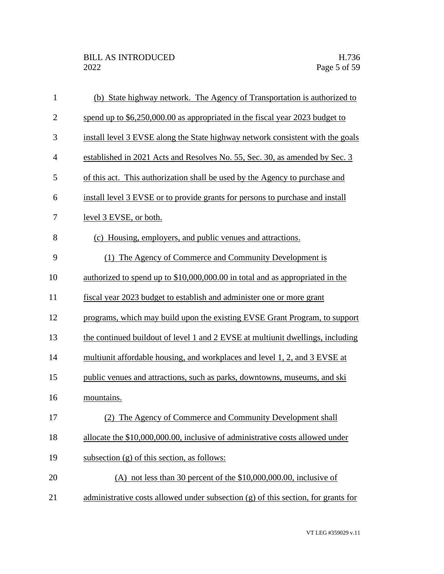| $\mathbf{1}$   | (b) State highway network. The Agency of Transportation is authorized to          |
|----------------|-----------------------------------------------------------------------------------|
| $\mathbf{2}$   | spend up to \$6,250,000.00 as appropriated in the fiscal year 2023 budget to      |
| 3              | install level 3 EVSE along the State highway network consistent with the goals    |
| $\overline{4}$ | established in 2021 Acts and Resolves No. 55, Sec. 30, as amended by Sec. 3       |
| 5              | of this act. This authorization shall be used by the Agency to purchase and       |
| 6              | install level 3 EVSE or to provide grants for persons to purchase and install     |
| 7              | level 3 EVSE, or both.                                                            |
| 8              | (c) Housing, employers, and public venues and attractions.                        |
| 9              | (1) The Agency of Commerce and Community Development is                           |
| 10             | authorized to spend up to \$10,000,000.00 in total and as appropriated in the     |
| 11             | fiscal year 2023 budget to establish and administer one or more grant             |
| 12             | programs, which may build upon the existing EVSE Grant Program, to support        |
| 13             | the continued buildout of level 1 and 2 EVSE at multiunit dwellings, including    |
| 14             | multiunit affordable housing, and workplaces and level 1, 2, and 3 EVSE at        |
| 15             | public venues and attractions, such as parks, downtowns, museums, and ski         |
| 16             | mountains.                                                                        |
| 17             | (2) The Agency of Commerce and Community Development shall                        |
| 18             | allocate the \$10,000,000.00, inclusive of administrative costs allowed under     |
| 19             | subsection $(g)$ of this section, as follows:                                     |
| 20             | (A) not less than 30 percent of the $$10,000,000.00$ , inclusive of               |
| 21             | administrative costs allowed under subsection (g) of this section, for grants for |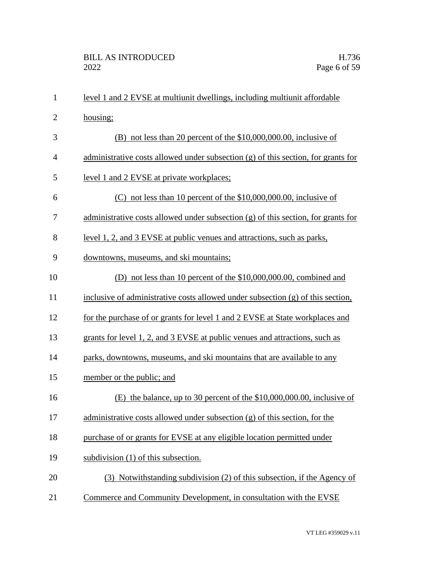| $\mathbf{1}$   | level 1 and 2 EVSE at multiunit dwellings, including multiunit affordable         |
|----------------|-----------------------------------------------------------------------------------|
| $\overline{2}$ | housing;                                                                          |
| 3              | $(B)$ not less than 20 percent of the \$10,000,000.00, inclusive of               |
| 4              | administrative costs allowed under subsection (g) of this section, for grants for |
| 5              | level 1 and 2 EVSE at private workplaces;                                         |
| 6              | $(C)$ not less than 10 percent of the \$10,000,000.00, inclusive of               |
| 7              | administrative costs allowed under subsection (g) of this section, for grants for |
| 8              | level 1, 2, and 3 EVSE at public venues and attractions, such as parks,           |
| 9              | downtowns, museums, and ski mountains;                                            |
| 10             | (D) not less than 10 percent of the \$10,000,000.00, combined and                 |
| 11             | inclusive of administrative costs allowed under subsection $(g)$ of this section, |
| 12             | for the purchase of or grants for level 1 and 2 EVSE at State workplaces and      |
| 13             | grants for level 1, 2, and 3 EVSE at public venues and attractions, such as       |
| 14             | parks, downtowns, museums, and ski mountains that are available to any            |
| 15             | member or the public; and                                                         |
| 16             | the balance, up to 30 percent of the $$10,000,000.00$ , inclusive of<br>(E)       |
| 17             | administrative costs allowed under subsection (g) of this section, for the        |
| 18             | purchase of or grants for EVSE at any eligible location permitted under           |
| 19             | subdivision (1) of this subsection.                                               |
| 20             | (3) Notwithstanding subdivision (2) of this subsection, if the Agency of          |
| 21             | Commerce and Community Development, in consultation with the EVSE                 |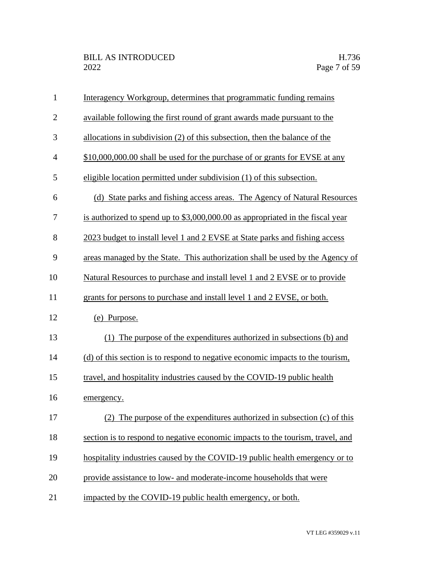| $\mathbf{1}$   | Interagency Workgroup, determines that programmatic funding remains            |
|----------------|--------------------------------------------------------------------------------|
| $\overline{2}$ | available following the first round of grant awards made pursuant to the       |
| 3              | allocations in subdivision (2) of this subsection, then the balance of the     |
| $\overline{4}$ | \$10,000,000.00 shall be used for the purchase of or grants for EVSE at any    |
| 5              | eligible location permitted under subdivision (1) of this subsection.          |
| 6              | (d) State parks and fishing access areas. The Agency of Natural Resources      |
| 7              | is authorized to spend up to \$3,000,000.00 as appropriated in the fiscal year |
| 8              | 2023 budget to install level 1 and 2 EVSE at State parks and fishing access    |
| 9              | areas managed by the State. This authorization shall be used by the Agency of  |
| 10             | Natural Resources to purchase and install level 1 and 2 EVSE or to provide     |
| 11             | grants for persons to purchase and install level 1 and 2 EVSE, or both.        |
| 12             | (e) Purpose.                                                                   |
| 13             | (1) The purpose of the expenditures authorized in subsections (b) and          |
| 14             | (d) of this section is to respond to negative economic impacts to the tourism, |
| 15             | travel, and hospitality industries caused by the COVID-19 public health        |
| 16             | emergency.                                                                     |
| 17             | (2) The purpose of the expenditures authorized in subsection (c) of this       |
| 18             | section is to respond to negative economic impacts to the tourism, travel, and |
| 19             | hospitality industries caused by the COVID-19 public health emergency or to    |
| 20             | provide assistance to low- and moderate-income households that were            |
| 21             | impacted by the COVID-19 public health emergency, or both.                     |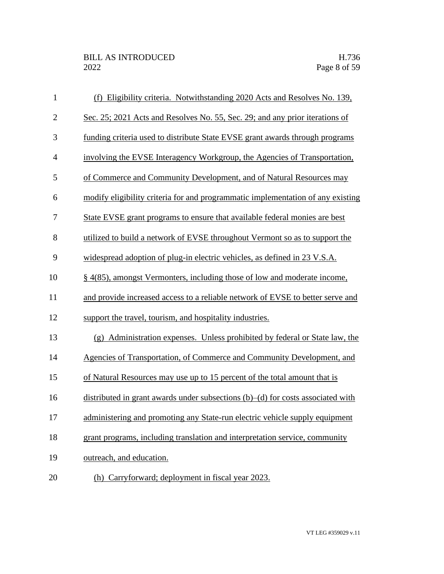| $\mathbf{1}$   | (f) Eligibility criteria. Notwithstanding 2020 Acts and Resolves No. 139,             |
|----------------|---------------------------------------------------------------------------------------|
| $\mathbf{2}$   | Sec. 25; 2021 Acts and Resolves No. 55, Sec. 29; and any prior iterations of          |
| 3              | funding criteria used to distribute State EVSE grant awards through programs          |
| $\overline{4}$ | involving the EVSE Interagency Workgroup, the Agencies of Transportation,             |
| 5              | of Commerce and Community Development, and of Natural Resources may                   |
| 6              | modify eligibility criteria for and programmatic implementation of any existing       |
| 7              | State EVSE grant programs to ensure that available federal monies are best            |
| 8              | utilized to build a network of EVSE throughout Vermont so as to support the           |
| 9              | widespread adoption of plug-in electric vehicles, as defined in 23 V.S.A.             |
| 10             | § 4(85), amongst Vermonters, including those of low and moderate income,              |
| 11             | and provide increased access to a reliable network of EVSE to better serve and        |
| 12             | support the travel, tourism, and hospitality industries.                              |
| 13             | (g) Administration expenses. Unless prohibited by federal or State law, the           |
| 14             | Agencies of Transportation, of Commerce and Community Development, and                |
| 15             | of Natural Resources may use up to 15 percent of the total amount that is             |
| 16             | distributed in grant awards under subsections $(b)$ – $(d)$ for costs associated with |
| 17             | administering and promoting any State-run electric vehicle supply equipment           |
| 18             | grant programs, including translation and interpretation service, community           |
| 19             | outreach, and education.                                                              |
| 20             | (h) Carryforward; deployment in fiscal year 2023.                                     |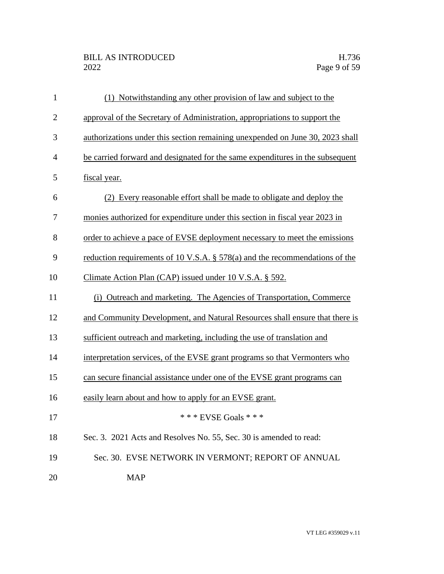| $\mathbf{1}$   | (1) Notwithstanding any other provision of law and subject to the              |
|----------------|--------------------------------------------------------------------------------|
| $\mathbf{2}$   | approval of the Secretary of Administration, appropriations to support the     |
| 3              | authorizations under this section remaining unexpended on June 30, 2023 shall  |
| $\overline{4}$ | be carried forward and designated for the same expenditures in the subsequent  |
| 5              | fiscal year.                                                                   |
| 6              | (2) Every reasonable effort shall be made to obligate and deploy the           |
| 7              | monies authorized for expenditure under this section in fiscal year 2023 in    |
| 8              | order to achieve a pace of EVSE deployment necessary to meet the emissions     |
| 9              | reduction requirements of 10 V.S.A. $\S$ 578(a) and the recommendations of the |
| 10             | Climate Action Plan (CAP) issued under 10 V.S.A. § 592.                        |
| 11             | (i) Outreach and marketing. The Agencies of Transportation, Commerce           |
| 12             | and Community Development, and Natural Resources shall ensure that there is    |
| 13             | sufficient outreach and marketing, including the use of translation and        |
| 14             | interpretation services, of the EVSE grant programs so that Vermonters who     |
| 15             | can secure financial assistance under one of the EVSE grant programs can       |
| 16             | easily learn about and how to apply for an EVSE grant.                         |
| 17             | *** EVSE Goals ***                                                             |
| 18             | Sec. 3. 2021 Acts and Resolves No. 55, Sec. 30 is amended to read:             |
| 19             | Sec. 30. EVSE NETWORK IN VERMONT; REPORT OF ANNUAL                             |
| 20             | <b>MAP</b>                                                                     |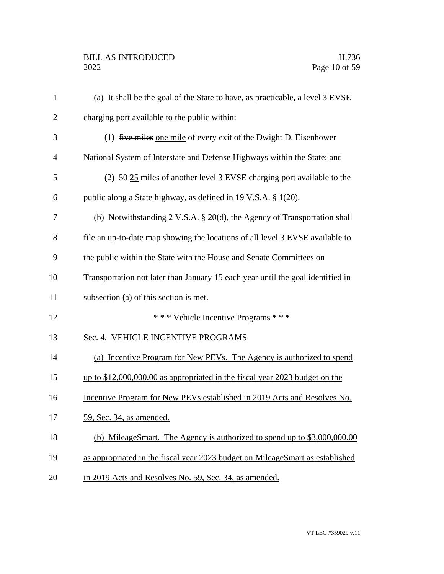| $\mathbf{1}$   | (a) It shall be the goal of the State to have, as practicable, a level 3 EVSE        |
|----------------|--------------------------------------------------------------------------------------|
| $\overline{2}$ | charging port available to the public within:                                        |
| 3              | $(1)$ five miles one mile of every exit of the Dwight D. Eisenhower                  |
| $\overline{4}$ | National System of Interstate and Defense Highways within the State; and             |
| 5              | $(2)$ 50 25 miles of another level 3 EVSE charging port available to the             |
| 6              | public along a State highway, as defined in 19 V.S.A. § 1(20).                       |
| 7              | (b) Notwithstanding $2 \text{ V.S.A. } § 20(d)$ , the Agency of Transportation shall |
| 8              | file an up-to-date map showing the locations of all level 3 EVSE available to        |
| 9              | the public within the State with the House and Senate Committees on                  |
| 10             | Transportation not later than January 15 each year until the goal identified in      |
| 11             | subsection (a) of this section is met.                                               |
| 12             | *** Vehicle Incentive Programs ***                                                   |
| 13             | Sec. 4. VEHICLE INCENTIVE PROGRAMS                                                   |
| 14             | (a) Incentive Program for New PEVs. The Agency is authorized to spend                |
| 15             | up to \$12,000,000.00 as appropriated in the fiscal year 2023 budget on the          |
| 16             | Incentive Program for New PEVs established in 2019 Acts and Resolves No.             |
| 17             | <u>59, Sec. 34, as amended.</u>                                                      |
| 18             | (b) MileageSmart. The Agency is authorized to spend up to \$3,000,000.00             |
| 19             | as appropriated in the fiscal year 2023 budget on MileageSmart as established        |
| 20             | in 2019 Acts and Resolves No. 59, Sec. 34, as amended.                               |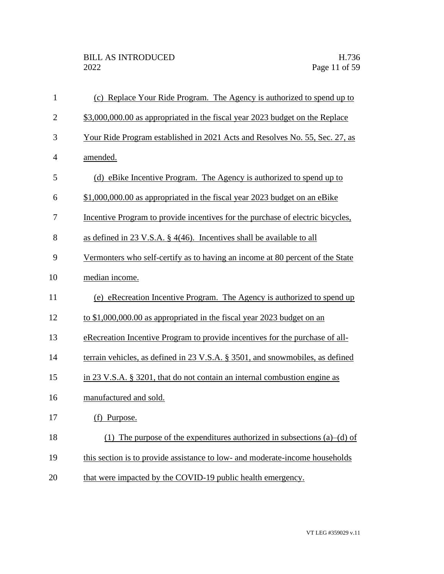| $\mathbf{1}$   | (c) Replace Your Ride Program. The Agency is authorized to spend up to            |
|----------------|-----------------------------------------------------------------------------------|
| $\overline{2}$ | \$3,000,000.00 as appropriated in the fiscal year 2023 budget on the Replace      |
| 3              | Your Ride Program established in 2021 Acts and Resolves No. 55, Sec. 27, as       |
| $\overline{4}$ | amended.                                                                          |
| 5              | (d) eBike Incentive Program. The Agency is authorized to spend up to              |
| 6              | \$1,000,000.00 as appropriated in the fiscal year 2023 budget on an eBike         |
| 7              | Incentive Program to provide incentives for the purchase of electric bicycles,    |
| 8              | as defined in 23 V.S.A. $\S$ 4(46). Incentives shall be available to all          |
| 9              | Vermonters who self-certify as to having an income at 80 percent of the State     |
| 10             | median income.                                                                    |
| 11             | (e) eRecreation Incentive Program. The Agency is authorized to spend up           |
| 12             | to \$1,000,000.00 as appropriated in the fiscal year 2023 budget on an            |
| 13             | e Recreation Incentive Program to provide incentives for the purchase of all-     |
| 14             | terrain vehicles, as defined in 23 V.S.A. § 3501, and snowmobiles, as defined     |
| 15             | in 23 V.S.A. § 3201, that do not contain an internal combustion engine as         |
| 16             | manufactured and sold.                                                            |
| 17             | (f) Purpose.                                                                      |
| 18             | The purpose of the expenditures authorized in subsections $(a)$ – $(d)$ of<br>(1) |
| 19             | this section is to provide assistance to low- and moderate-income households      |
| 20             | that were impacted by the COVID-19 public health emergency.                       |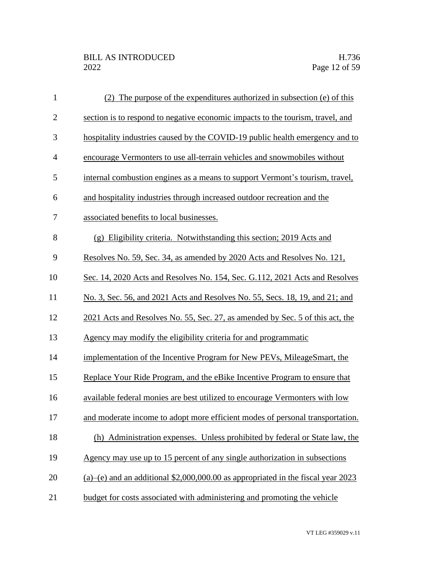| $\mathbf{1}$   | (2) The purpose of the expenditures authorized in subsection (e) of this           |
|----------------|------------------------------------------------------------------------------------|
| $\mathbf{2}$   | section is to respond to negative economic impacts to the tourism, travel, and     |
| 3              | hospitality industries caused by the COVID-19 public health emergency and to       |
| $\overline{4}$ | encourage Vermonters to use all-terrain vehicles and snowmobiles without           |
| 5              | internal combustion engines as a means to support Vermont's tourism, travel,       |
| 6              | and hospitality industries through increased outdoor recreation and the            |
| 7              | associated benefits to local businesses.                                           |
| 8              | (g) Eligibility criteria. Notwithstanding this section; 2019 Acts and              |
| 9              | Resolves No. 59, Sec. 34, as amended by 2020 Acts and Resolves No. 121,            |
| 10             | Sec. 14, 2020 Acts and Resolves No. 154, Sec. G.112, 2021 Acts and Resolves        |
| 11             | No. 3, Sec. 56, and 2021 Acts and Resolves No. 55, Secs. 18, 19, and 21; and       |
| 12             | 2021 Acts and Resolves No. 55, Sec. 27, as amended by Sec. 5 of this act, the      |
| 13             | Agency may modify the eligibility criteria for and programmatic                    |
| 14             | implementation of the Incentive Program for New PEVs, MileageSmart, the            |
| 15             | Replace Your Ride Program, and the eBike Incentive Program to ensure that          |
| 16             | available federal monies are best utilized to encourage Vermonters with low        |
| 17             | and moderate income to adopt more efficient modes of personal transportation.      |
| 18             | (h) Administration expenses. Unless prohibited by federal or State law, the        |
| 19             | Agency may use up to 15 percent of any single authorization in subsections         |
| 20             | $(a)$ (e) and an additional \$2,000,000.00 as appropriated in the fiscal year 2023 |
| 21             | budget for costs associated with administering and promoting the vehicle           |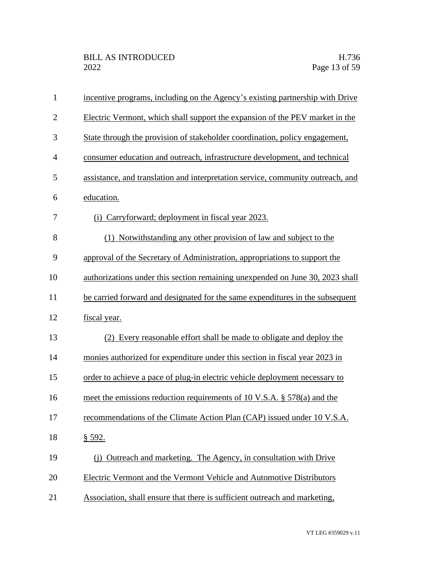| $\mathbf{1}$   | incentive programs, including on the Agency's existing partnership with Drive   |
|----------------|---------------------------------------------------------------------------------|
| $\overline{2}$ | Electric Vermont, which shall support the expansion of the PEV market in the    |
| 3              | State through the provision of stakeholder coordination, policy engagement,     |
| $\overline{4}$ | consumer education and outreach, infrastructure development, and technical      |
| 5              | assistance, and translation and interpretation service, community outreach, and |
| 6              | education.                                                                      |
| 7              | (i) Carryforward; deployment in fiscal year 2023.                               |
| 8              | (1) Notwithstanding any other provision of law and subject to the               |
| 9              | approval of the Secretary of Administration, appropriations to support the      |
| 10             | authorizations under this section remaining unexpended on June 30, 2023 shall   |
| 11             | be carried forward and designated for the same expenditures in the subsequent   |
| 12             | fiscal year.                                                                    |
| 13             | (2) Every reasonable effort shall be made to obligate and deploy the            |
| 14             | monies authorized for expenditure under this section in fiscal year 2023 in     |
| 15             | order to achieve a pace of plug-in electric vehicle deployment necessary to     |
| 16             | meet the emissions reduction requirements of 10 V.S.A. § 578(a) and the         |
| 17             | recommendations of the Climate Action Plan (CAP) issued under 10 V.S.A.         |
| 18             | § 592.                                                                          |
| 19             | (i) Outreach and marketing. The Agency, in consultation with Drive              |
| 20             | <b>Electric Vermont and the Vermont Vehicle and Automotive Distributors</b>     |
| 21             | Association, shall ensure that there is sufficient outreach and marketing,      |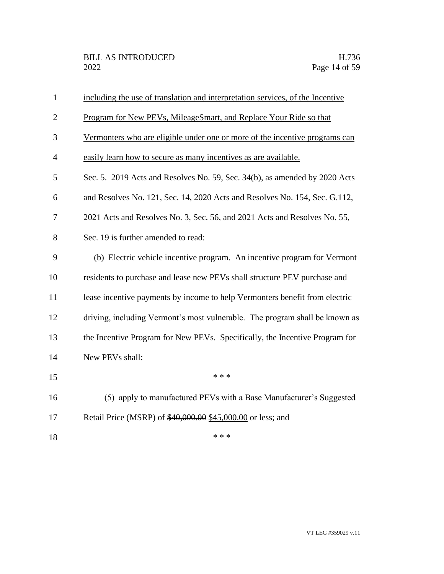| $\mathbf{1}$   | including the use of translation and interpretation services, of the Incentive |
|----------------|--------------------------------------------------------------------------------|
| $\overline{2}$ | Program for New PEVs, MileageSmart, and Replace Your Ride so that              |
| 3              | Vermonters who are eligible under one or more of the incentive programs can    |
| $\overline{4}$ | easily learn how to secure as many incentives as are available.                |
| 5              | Sec. 5. 2019 Acts and Resolves No. 59, Sec. 34(b), as amended by 2020 Acts     |
| 6              | and Resolves No. 121, Sec. 14, 2020 Acts and Resolves No. 154, Sec. G.112,     |
| 7              | 2021 Acts and Resolves No. 3, Sec. 56, and 2021 Acts and Resolves No. 55,      |
| 8              | Sec. 19 is further amended to read:                                            |
| 9              | (b) Electric vehicle incentive program. An incentive program for Vermont       |
| 10             | residents to purchase and lease new PEVs shall structure PEV purchase and      |
| 11             | lease incentive payments by income to help Vermonters benefit from electric    |
| 12             | driving, including Vermont's most vulnerable. The program shall be known as    |
| 13             | the Incentive Program for New PEVs. Specifically, the Incentive Program for    |
| 14             | New PEVs shall:                                                                |
| 15             | * * *                                                                          |
| 16             | (5) apply to manufactured PEVs with a Base Manufacturer's Suggested            |
| 17             | Retail Price (MSRP) of \$40,000.00 \$45,000.00 or less; and                    |
| 18             | * * *                                                                          |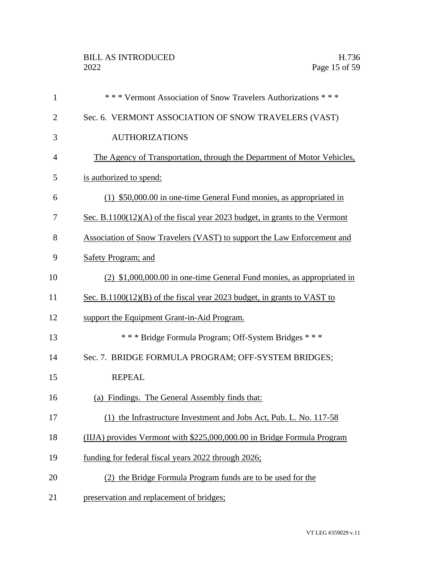| $\mathbf{1}$   | *** Vermont Association of Snow Travelers Authorizations ***                |
|----------------|-----------------------------------------------------------------------------|
| $\overline{2}$ | Sec. 6. VERMONT ASSOCIATION OF SNOW TRAVELERS (VAST)                        |
| 3              | <b>AUTHORIZATIONS</b>                                                       |
| 4              | The Agency of Transportation, through the Department of Motor Vehicles,     |
| 5              | is authorized to spend:                                                     |
| 6              | (1) \$50,000.00 in one-time General Fund monies, as appropriated in         |
| 7              | Sec. B.1100(12)(A) of the fiscal year 2023 budget, in grants to the Vermont |
| 8              | Association of Snow Travelers (VAST) to support the Law Enforcement and     |
| 9              | <b>Safety Program; and</b>                                                  |
| 10             | (2) \$1,000,000.00 in one-time General Fund monies, as appropriated in      |
| 11             | Sec. B.1100(12)(B) of the fiscal year 2023 budget, in grants to VAST to     |
| 12             | support the Equipment Grant-in-Aid Program.                                 |
| 13             | *** Bridge Formula Program; Off-System Bridges ***                          |
| 14             | Sec. 7. BRIDGE FORMULA PROGRAM; OFF-SYSTEM BRIDGES;                         |
| 15             | <b>REPEAL</b>                                                               |
| 16             | (a) Findings. The General Assembly finds that:                              |
| 17             | the Infrastructure Investment and Jobs Act, Pub. L. No. 117-58<br>(1)       |
| 18             | (IIJA) provides Vermont with \$225,000,000.00 in Bridge Formula Program     |
| 19             | funding for federal fiscal years 2022 through 2026;                         |
| 20             | (2) the Bridge Formula Program funds are to be used for the                 |
| 21             | preservation and replacement of bridges;                                    |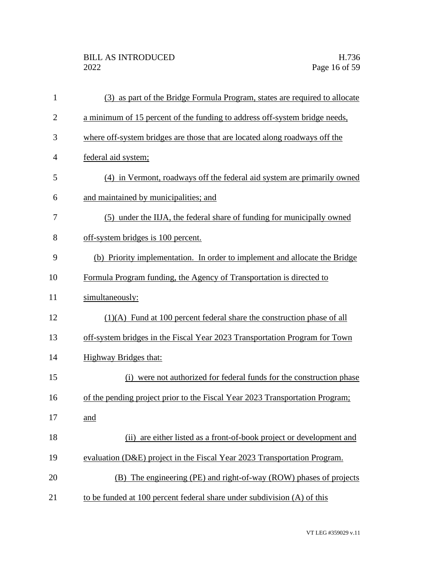| $\mathbf{1}$   | (3) as part of the Bridge Formula Program, states are required to allocate   |
|----------------|------------------------------------------------------------------------------|
| $\overline{2}$ | a minimum of 15 percent of the funding to address off-system bridge needs,   |
| 3              | where off-system bridges are those that are located along roadways off the   |
| $\overline{4}$ | federal aid system;                                                          |
| 5              | (4) in Vermont, roadways off the federal aid system are primarily owned      |
| 6              | and maintained by municipalities; and                                        |
| 7              | (5) under the IIJA, the federal share of funding for municipally owned       |
| 8              | off-system bridges is 100 percent.                                           |
| 9              | (b) Priority implementation. In order to implement and allocate the Bridge   |
| 10             | Formula Program funding, the Agency of Transportation is directed to         |
| 11             | simultaneously:                                                              |
| 12             | $(1)(A)$ Fund at 100 percent federal share the construction phase of all     |
| 13             | off-system bridges in the Fiscal Year 2023 Transportation Program for Town   |
| 14             | <b>Highway Bridges that:</b>                                                 |
| 15             | (i) were not authorized for federal funds for the construction phase         |
| 16             | of the pending project prior to the Fiscal Year 2023 Transportation Program; |
| 17             | and                                                                          |
| 18             | (ii) are either listed as a front-of-book project or development and         |
| 19             | evaluation (D&E) project in the Fiscal Year 2023 Transportation Program.     |
| 20             | (B) The engineering (PE) and right-of-way (ROW) phases of projects           |
| 21             | to be funded at 100 percent federal share under subdivision (A) of this      |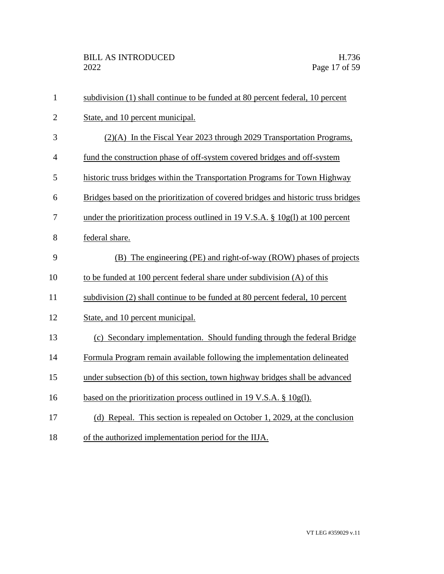| $\mathbf{1}$   | subdivision (1) shall continue to be funded at 80 percent federal, 10 percent     |
|----------------|-----------------------------------------------------------------------------------|
| $\overline{2}$ | State, and 10 percent municipal.                                                  |
| 3              | $(2)(A)$ In the Fiscal Year 2023 through 2029 Transportation Programs,            |
| $\overline{4}$ | fund the construction phase of off-system covered bridges and off-system          |
| 5              | historic truss bridges within the Transportation Programs for Town Highway        |
| 6              | Bridges based on the prioritization of covered bridges and historic truss bridges |
| $\tau$         | under the prioritization process outlined in 19 V.S.A. $\S$ 10g(l) at 100 percent |
| 8              | federal share.                                                                    |
| 9              | (B) The engineering (PE) and right-of-way (ROW) phases of projects                |
| 10             | to be funded at 100 percent federal share under subdivision (A) of this           |
| 11             | subdivision (2) shall continue to be funded at 80 percent federal, 10 percent     |
| 12             | State, and 10 percent municipal.                                                  |
| 13             | (c) Secondary implementation. Should funding through the federal Bridge           |
| 14             | Formula Program remain available following the implementation delineated          |
| 15             | under subsection (b) of this section, town highway bridges shall be advanced      |
| 16             | based on the prioritization process outlined in 19 V.S.A. $\S$ 10g(1).            |
| 17             | (d) Repeal. This section is repealed on October 1, 2029, at the conclusion        |
| 18             | of the authorized implementation period for the IIJA.                             |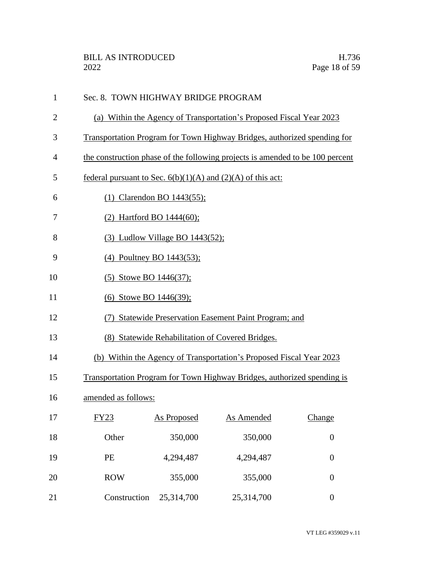| $\mathbf{1}$   | Sec. 8. TOWN HIGHWAY BRIDGE PROGRAM                                           |                                       |                                                                         |                  |  |
|----------------|-------------------------------------------------------------------------------|---------------------------------------|-------------------------------------------------------------------------|------------------|--|
| $\overline{2}$ | (a) Within the Agency of Transportation's Proposed Fiscal Year 2023           |                                       |                                                                         |                  |  |
| 3              | Transportation Program for Town Highway Bridges, authorized spending for      |                                       |                                                                         |                  |  |
| $\overline{4}$ | the construction phase of the following projects is amended to be 100 percent |                                       |                                                                         |                  |  |
| 5              | federal pursuant to Sec. $6(b)(1)(A)$ and $(2)(A)$ of this act:               |                                       |                                                                         |                  |  |
| 6              |                                                                               | (1) Clarendon BO $1443(55)$ ;         |                                                                         |                  |  |
| 7              | (2) Hartford BO 1444(60);                                                     |                                       |                                                                         |                  |  |
| 8              |                                                                               | $(3)$ Ludlow Village BO 1443 $(52)$ ; |                                                                         |                  |  |
| 9              | (4) Poultney BO 1443(53);                                                     |                                       |                                                                         |                  |  |
| 10             | (5) Stowe BO 1446(37);                                                        |                                       |                                                                         |                  |  |
| 11             | (6) Stowe BO 1446(39);                                                        |                                       |                                                                         |                  |  |
| 12             | (7) Statewide Preservation Easement Paint Program; and                        |                                       |                                                                         |                  |  |
| 13             | (8) Statewide Rehabilitation of Covered Bridges.                              |                                       |                                                                         |                  |  |
| 14             |                                                                               |                                       | (b) Within the Agency of Transportation's Proposed Fiscal Year 2023     |                  |  |
| 15             |                                                                               |                                       | Transportation Program for Town Highway Bridges, authorized spending is |                  |  |
| 16             | amended as follows:                                                           |                                       |                                                                         |                  |  |
| 17             | <b>FY23</b>                                                                   |                                       | <b>As Proposed</b> As Amended                                           | Change           |  |
| 18             | Other                                                                         | 350,000                               | 350,000                                                                 | $\boldsymbol{0}$ |  |
| 19             | PE                                                                            | 4,294,487                             | 4,294,487                                                               | $\boldsymbol{0}$ |  |
| 20             | <b>ROW</b>                                                                    | 355,000                               | 355,000                                                                 | $\boldsymbol{0}$ |  |
| 21             | Construction                                                                  | 25,314,700                            | 25,314,700                                                              | $\boldsymbol{0}$ |  |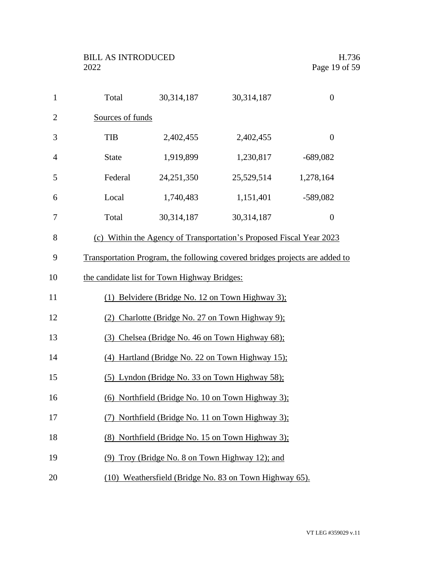| $\mathbf{1}$   | Total                                             | 30,314,187                                   | 30,314,187                                                                  | $\boldsymbol{0}$ |  |
|----------------|---------------------------------------------------|----------------------------------------------|-----------------------------------------------------------------------------|------------------|--|
| $\overline{2}$ | Sources of funds                                  |                                              |                                                                             |                  |  |
| 3              | <b>TIB</b>                                        | 2,402,455                                    | 2,402,455                                                                   | $\boldsymbol{0}$ |  |
| $\overline{4}$ | <b>State</b>                                      | 1,919,899                                    | 1,230,817                                                                   | $-689,082$       |  |
| 5              | Federal                                           | 24,251,350                                   | 25,529,514                                                                  | 1,278,164        |  |
| 6              | Local                                             | 1,740,483                                    | 1,151,401                                                                   | $-589,082$       |  |
| 7              | Total                                             | 30,314,187                                   | 30,314,187                                                                  | $\boldsymbol{0}$ |  |
| 8              |                                                   |                                              | (c) Within the Agency of Transportation's Proposed Fiscal Year 2023         |                  |  |
| 9              |                                                   |                                              | Transportation Program, the following covered bridges projects are added to |                  |  |
| 10             |                                                   | the candidate list for Town Highway Bridges: |                                                                             |                  |  |
| 11             |                                                   |                                              | (1) Belvidere (Bridge No. 12 on Town Highway 3);                            |                  |  |
| 12             | (2) Charlotte (Bridge No. 27 on Town Highway 9);  |                                              |                                                                             |                  |  |
| 13             | (3) Chelsea (Bridge No. 46 on Town Highway 68);   |                                              |                                                                             |                  |  |
| 14             | (4) Hartland (Bridge No. 22 on Town Highway 15);  |                                              |                                                                             |                  |  |
| 15             |                                                   |                                              | (5) Lyndon (Bridge No. 33 on Town Highway 58);                              |                  |  |
| 16             |                                                   |                                              | (6) Northfield (Bridge No. 10 on Town Highway 3);                           |                  |  |
| 17             | (7) Northfield (Bridge No. 11 on Town Highway 3); |                                              |                                                                             |                  |  |
| 18             | (8) Northfield (Bridge No. 15 on Town Highway 3); |                                              |                                                                             |                  |  |
| 19             | (9) Troy (Bridge No. 8 on Town Highway 12); and   |                                              |                                                                             |                  |  |
| 20             |                                                   |                                              | (10) Weathersfield (Bridge No. 83 on Town Highway 65).                      |                  |  |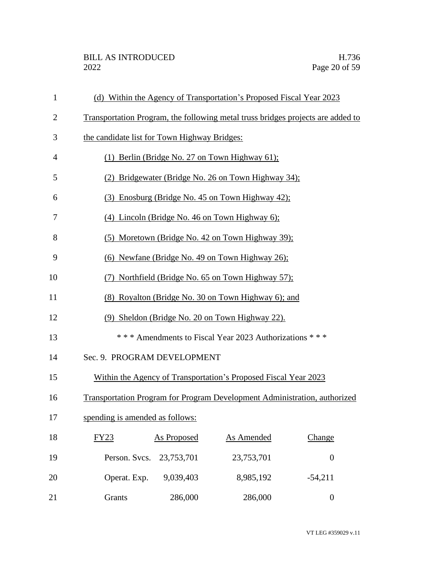| $\mathbf{1}$   | (d) Within the Agency of Transportation's Proposed Fiscal Year 2023             |                                                     |                                                                                  |                  |  |  |
|----------------|---------------------------------------------------------------------------------|-----------------------------------------------------|----------------------------------------------------------------------------------|------------------|--|--|
| $\overline{2}$ | Transportation Program, the following metal truss bridges projects are added to |                                                     |                                                                                  |                  |  |  |
| 3              | the candidate list for Town Highway Bridges:                                    |                                                     |                                                                                  |                  |  |  |
| $\overline{4}$ |                                                                                 | (1) Berlin (Bridge No. 27 on Town Highway 61);      |                                                                                  |                  |  |  |
| 5              |                                                                                 | (2) Bridgewater (Bridge No. 26 on Town Highway 34); |                                                                                  |                  |  |  |
| 6              |                                                                                 |                                                     | (3) Enosburg (Bridge No. 45 on Town Highway 42);                                 |                  |  |  |
| 7              |                                                                                 |                                                     | $(4)$ Lincoln (Bridge No. 46 on Town Highway 6);                                 |                  |  |  |
| 8              |                                                                                 |                                                     | (5) Moretown (Bridge No. 42 on Town Highway 39);                                 |                  |  |  |
| 9              | (6) Newfane (Bridge No. 49 on Town Highway 26);                                 |                                                     |                                                                                  |                  |  |  |
| 10             | (7) Northfield (Bridge No. 65 on Town Highway 57);                              |                                                     |                                                                                  |                  |  |  |
| 11             | (8) Royalton (Bridge No. 30 on Town Highway 6); and                             |                                                     |                                                                                  |                  |  |  |
| 12             | (9) Sheldon (Bridge No. 20 on Town Highway 22).                                 |                                                     |                                                                                  |                  |  |  |
| 13             | *** Amendments to Fiscal Year 2023 Authorizations ***                           |                                                     |                                                                                  |                  |  |  |
| 14             | Sec. 9. PROGRAM DEVELOPMENT                                                     |                                                     |                                                                                  |                  |  |  |
| 15             |                                                                                 |                                                     | Within the Agency of Transportation's Proposed Fiscal Year 2023                  |                  |  |  |
| 16             |                                                                                 |                                                     | <b>Transportation Program for Program Development Administration, authorized</b> |                  |  |  |
| 17             | spending is amended as follows:                                                 |                                                     |                                                                                  |                  |  |  |
| 18             | FY23                                                                            | As Proposed                                         | As Amended                                                                       | Change           |  |  |
| 19             | Person. Svcs.                                                                   | 23,753,701                                          | 23,753,701                                                                       | $\boldsymbol{0}$ |  |  |
| 20             | Operat. Exp.                                                                    | 9,039,403                                           | 8,985,192                                                                        | $-54,211$        |  |  |
| 21             | Grants                                                                          | 286,000                                             | 286,000                                                                          | $\boldsymbol{0}$ |  |  |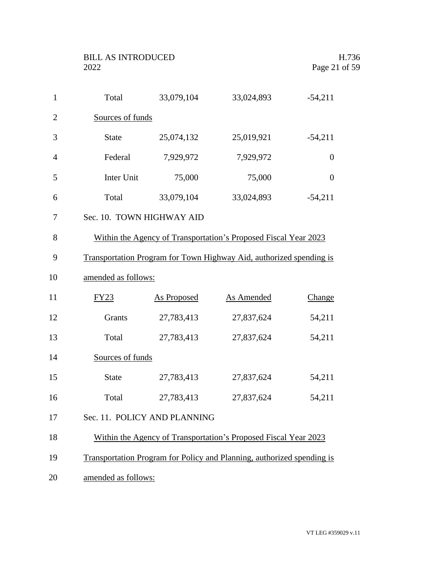| $\mathbf{1}$   | Total                        | 33,079,104         | 33,024,893                                                             | $-54,211$        |
|----------------|------------------------------|--------------------|------------------------------------------------------------------------|------------------|
| $\overline{2}$ | Sources of funds             |                    |                                                                        |                  |
| 3              | <b>State</b>                 | 25,074,132         | 25,019,921                                                             | $-54,211$        |
| $\overline{4}$ | Federal                      | 7,929,972          | 7,929,972                                                              | $\boldsymbol{0}$ |
| 5              | Inter Unit                   | 75,000             | 75,000                                                                 | $\boldsymbol{0}$ |
| 6              | Total                        | 33,079,104         | 33,024,893                                                             | $-54,211$        |
| 7              | Sec. 10. TOWN HIGHWAY AID    |                    |                                                                        |                  |
| 8              |                              |                    | Within the Agency of Transportation's Proposed Fiscal Year 2023        |                  |
| 9              |                              |                    | Transportation Program for Town Highway Aid, authorized spending is    |                  |
| 10             | amended as follows:          |                    |                                                                        |                  |
| 11             | FY23                         | <b>As Proposed</b> | <b>As Amended</b>                                                      | <b>Change</b>    |
| 12             | Grants                       | 27,783,413         | 27,837,624                                                             | 54,211           |
| 13             | Total                        | 27,783,413         | 27,837,624                                                             | 54,211           |
| 14             | Sources of funds             |                    |                                                                        |                  |
| 15             | <b>State</b>                 | 27,783,413         | 27,837,624                                                             | 54,211           |
| 16             | Total                        | 27,783,413         | 27,837,624                                                             | 54,211           |
| 17             | Sec. 11. POLICY AND PLANNING |                    |                                                                        |                  |
| 18             |                              |                    | Within the Agency of Transportation's Proposed Fiscal Year 2023        |                  |
| 19             |                              |                    | Transportation Program for Policy and Planning, authorized spending is |                  |
| 20             | amended as follows:          |                    |                                                                        |                  |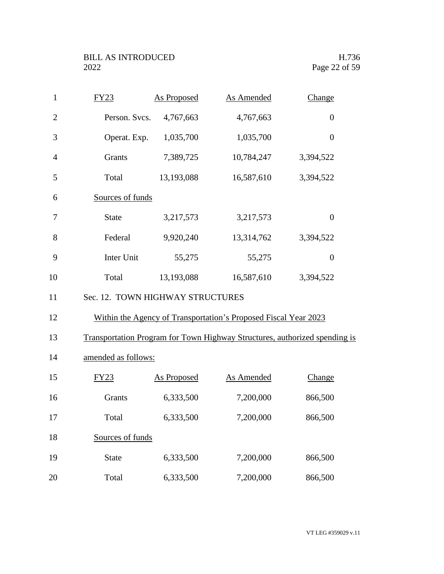| $\mathbf{1}$   | FY23                             | <b>As Proposed</b> | <b>As Amended</b>                                               | Change                                                                     |
|----------------|----------------------------------|--------------------|-----------------------------------------------------------------|----------------------------------------------------------------------------|
| $\overline{2}$ | Person. Svcs.                    | 4,767,663          | 4,767,663                                                       | $\overline{0}$                                                             |
| 3              | Operat. Exp.                     | 1,035,700          | 1,035,700                                                       | $\boldsymbol{0}$                                                           |
| $\overline{4}$ | Grants                           | 7,389,725          | 10,784,247                                                      | 3,394,522                                                                  |
| 5              | Total                            | 13,193,088         | 16,587,610                                                      | 3,394,522                                                                  |
| 6              | Sources of funds                 |                    |                                                                 |                                                                            |
| 7              | <b>State</b>                     | 3,217,573          | 3,217,573                                                       | $\boldsymbol{0}$                                                           |
| 8              | Federal                          | 9,920,240          | 13,314,762                                                      | 3,394,522                                                                  |
| 9              | Inter Unit                       | 55,275             | 55,275                                                          | $\boldsymbol{0}$                                                           |
| 10             | Total                            | 13,193,088         | 16,587,610                                                      | 3,394,522                                                                  |
| 11             | Sec. 12. TOWN HIGHWAY STRUCTURES |                    |                                                                 |                                                                            |
| 12             |                                  |                    | Within the Agency of Transportation's Proposed Fiscal Year 2023 |                                                                            |
| 13             |                                  |                    |                                                                 | Transportation Program for Town Highway Structures, authorized spending is |
| 14             | amended as follows:              |                    |                                                                 |                                                                            |
| 15             | FY23                             | <b>As Proposed</b> | <b>As Amended</b>                                               | <b>Change</b>                                                              |
| 16             | Grants                           | 6,333,500          | 7,200,000                                                       | 866,500                                                                    |
| 17             | Total                            | 6,333,500          | 7,200,000                                                       | 866,500                                                                    |
| 18             | Sources of funds                 |                    |                                                                 |                                                                            |
| 19             | <b>State</b>                     | 6,333,500          | 7,200,000                                                       | 866,500                                                                    |
| 20             | Total                            | 6,333,500          | 7,200,000                                                       | 866,500                                                                    |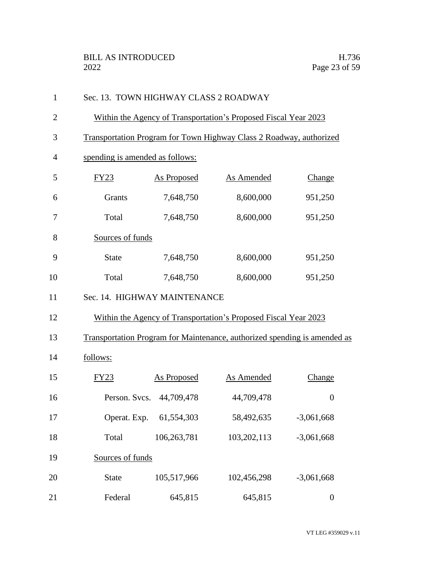| $\mathbf{1}$   | Sec. 13. TOWN HIGHWAY CLASS 2 ROADWAY                               |                                 |                                                                 |                                                                           |  |  |
|----------------|---------------------------------------------------------------------|---------------------------------|-----------------------------------------------------------------|---------------------------------------------------------------------------|--|--|
| $\overline{2}$ | Within the Agency of Transportation's Proposed Fiscal Year 2023     |                                 |                                                                 |                                                                           |  |  |
| 3              | Transportation Program for Town Highway Class 2 Roadway, authorized |                                 |                                                                 |                                                                           |  |  |
| $\overline{4}$ |                                                                     | spending is amended as follows: |                                                                 |                                                                           |  |  |
| 5              | FY23                                                                | As Proposed                     | As Amended                                                      | Change                                                                    |  |  |
| 6              | Grants                                                              | 7,648,750                       | 8,600,000                                                       | 951,250                                                                   |  |  |
| 7              | Total                                                               | 7,648,750                       | 8,600,000                                                       | 951,250                                                                   |  |  |
| 8              | Sources of funds                                                    |                                 |                                                                 |                                                                           |  |  |
| 9              | <b>State</b>                                                        | 7,648,750                       | 8,600,000                                                       | 951,250                                                                   |  |  |
| 10             | Total                                                               | 7,648,750                       | 8,600,000                                                       | 951,250                                                                   |  |  |
| 11             | Sec. 14. HIGHWAY MAINTENANCE                                        |                                 |                                                                 |                                                                           |  |  |
| 12             |                                                                     |                                 | Within the Agency of Transportation's Proposed Fiscal Year 2023 |                                                                           |  |  |
| 13             |                                                                     |                                 |                                                                 | Transportation Program for Maintenance, authorized spending is amended as |  |  |
| 14             | follows:                                                            |                                 |                                                                 |                                                                           |  |  |
| 15             | FY23                                                                | <b>As Proposed</b>              | <b>As Amended</b>                                               | Change                                                                    |  |  |
| 16             | Person. Svcs. 44,709,478                                            |                                 | 44,709,478                                                      | $\boldsymbol{0}$                                                          |  |  |
| 17             | Operat. Exp. 61,554,303                                             |                                 | 58,492,635                                                      | $-3,061,668$                                                              |  |  |
| 18             | Total                                                               | 106,263,781                     | 103,202,113                                                     | $-3,061,668$                                                              |  |  |
| 19             | Sources of funds                                                    |                                 |                                                                 |                                                                           |  |  |
| 20             | <b>State</b>                                                        | 105,517,966                     | 102,456,298                                                     | $-3,061,668$                                                              |  |  |
| 21             | Federal                                                             | 645,815                         | 645,815                                                         | $\boldsymbol{0}$                                                          |  |  |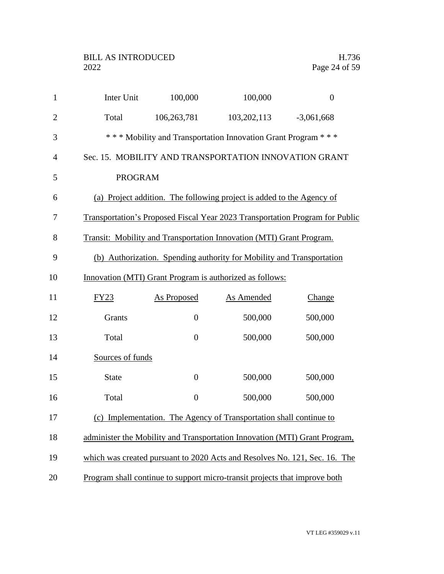| $\mathbf{1}$   | Inter Unit       | 100,000                                                            | 100,000                                                                      | $\boldsymbol{0}$ |  |  |
|----------------|------------------|--------------------------------------------------------------------|------------------------------------------------------------------------------|------------------|--|--|
| $\overline{2}$ | Total            | 106,263,781                                                        | 103, 202, 113                                                                | $-3,061,668$     |  |  |
| 3              |                  |                                                                    | *** Mobility and Transportation Innovation Grant Program ***                 |                  |  |  |
| $\overline{4}$ |                  |                                                                    | Sec. 15. MOBILITY AND TRANSPORTATION INNOVATION GRANT                        |                  |  |  |
| 5              | <b>PROGRAM</b>   |                                                                    |                                                                              |                  |  |  |
| 6              |                  |                                                                    | (a) Project addition. The following project is added to the Agency of        |                  |  |  |
| $\tau$         |                  |                                                                    | Transportation's Proposed Fiscal Year 2023 Transportation Program for Public |                  |  |  |
| 8              |                  |                                                                    | Transit: Mobility and Transportation Innovation (MTI) Grant Program.         |                  |  |  |
| 9              |                  |                                                                    | (b) Authorization. Spending authority for Mobility and Transportation        |                  |  |  |
| 10             |                  |                                                                    | Innovation (MTI) Grant Program is authorized as follows:                     |                  |  |  |
| 11             | FY23             | <b>As Proposed</b>                                                 | <b>As Amended</b>                                                            | Change           |  |  |
| 12             | Grants           | $\boldsymbol{0}$                                                   | 500,000                                                                      | 500,000          |  |  |
| 13             | Total            | $\boldsymbol{0}$                                                   | 500,000                                                                      | 500,000          |  |  |
| 14             | Sources of funds |                                                                    |                                                                              |                  |  |  |
| 15             | <b>State</b>     | $\boldsymbol{0}$                                                   | 500,000                                                                      | 500,000          |  |  |
| 16             | Total            | $\overline{0}$                                                     | 500,000                                                                      | 500,000          |  |  |
| 17             |                  | (c) Implementation. The Agency of Transportation shall continue to |                                                                              |                  |  |  |
| 18             |                  |                                                                    | administer the Mobility and Transportation Innovation (MTI) Grant Program,   |                  |  |  |
| 19             |                  |                                                                    | which was created pursuant to 2020 Acts and Resolves No. 121, Sec. 16. The   |                  |  |  |
| 20             |                  |                                                                    | Program shall continue to support micro-transit projects that improve both   |                  |  |  |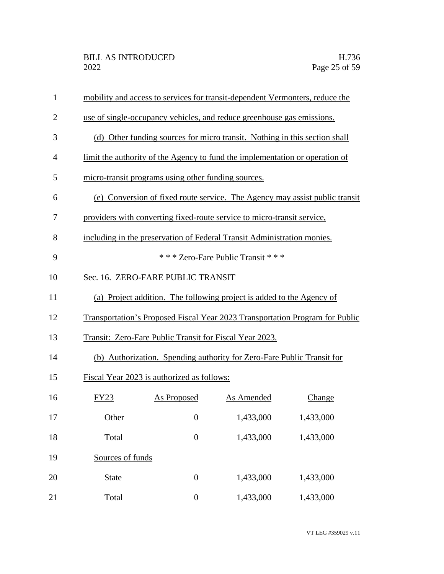| $\mathbf{1}$   |                  |                                                         | mobility and access to services for transit-dependent Vermonters, reduce the |                                                                              |
|----------------|------------------|---------------------------------------------------------|------------------------------------------------------------------------------|------------------------------------------------------------------------------|
| $\overline{2}$ |                  |                                                         | use of single-occupancy vehicles, and reduce greenhouse gas emissions.       |                                                                              |
| 3              |                  |                                                         | (d) Other funding sources for micro transit. Nothing in this section shall   |                                                                              |
| 4              |                  |                                                         | limit the authority of the Agency to fund the implementation or operation of |                                                                              |
| 5              |                  | micro-transit programs using other funding sources.     |                                                                              |                                                                              |
| 6              |                  |                                                         |                                                                              | (e) Conversion of fixed route service. The Agency may assist public transit  |
| 7              |                  |                                                         | providers with converting fixed-route service to micro-transit service,      |                                                                              |
| 8              |                  |                                                         | including in the preservation of Federal Transit Administration monies.      |                                                                              |
| 9              |                  |                                                         | *** Zero-Fare Public Transit ***                                             |                                                                              |
| 10             |                  | Sec. 16. ZERO-FARE PUBLIC TRANSIT                       |                                                                              |                                                                              |
| 11             |                  |                                                         | (a) Project addition. The following project is added to the Agency of        |                                                                              |
| 12             |                  |                                                         |                                                                              | Transportation's Proposed Fiscal Year 2023 Transportation Program for Public |
| 13             |                  | Transit: Zero-Fare Public Transit for Fiscal Year 2023. |                                                                              |                                                                              |
| 14             |                  |                                                         | (b) Authorization. Spending authority for Zero-Fare Public Transit for       |                                                                              |
| 15             |                  | Fiscal Year 2023 is authorized as follows:              |                                                                              |                                                                              |
| 16             | <b>FY23</b>      | <b>As Proposed</b>                                      | As Amended                                                                   | Change                                                                       |
| 17             | Other            | $\overline{0}$                                          | 1,433,000                                                                    | 1,433,000                                                                    |
| 18             | Total            | $\boldsymbol{0}$                                        | 1,433,000                                                                    | 1,433,000                                                                    |
| 19             | Sources of funds |                                                         |                                                                              |                                                                              |
| 20             | <b>State</b>     | $\boldsymbol{0}$                                        | 1,433,000                                                                    | 1,433,000                                                                    |
| 21             | Total            | $\boldsymbol{0}$                                        | 1,433,000                                                                    | 1,433,000                                                                    |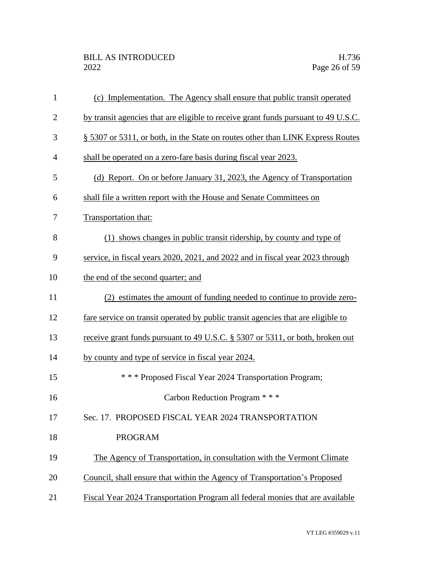| $\mathbf{1}$   | (c) Implementation. The Agency shall ensure that public transit operated           |
|----------------|------------------------------------------------------------------------------------|
| $\overline{2}$ | by transit agencies that are eligible to receive grant funds pursuant to 49 U.S.C. |
| 3              | § 5307 or 5311, or both, in the State on routes other than LINK Express Routes     |
| $\overline{4}$ | shall be operated on a zero-fare basis during fiscal year 2023.                    |
| 5              | (d) Report. On or before January 31, 2023, the Agency of Transportation            |
| 6              | shall file a written report with the House and Senate Committees on                |
| 7              | Transportation that:                                                               |
| 8              | (1) shows changes in public transit ridership, by county and type of               |
| 9              | service, in fiscal years 2020, 2021, and 2022 and in fiscal year 2023 through      |
| 10             | the end of the second quarter; and                                                 |
| 11             | (2) estimates the amount of funding needed to continue to provide zero-            |
| 12             | fare service on transit operated by public transit agencies that are eligible to   |
| 13             | receive grant funds pursuant to 49 U.S.C. § 5307 or 5311, or both, broken out      |
| 14             | by county and type of service in fiscal year 2024.                                 |
| 15             | *** Proposed Fiscal Year 2024 Transportation Program;                              |
| 16             | Carbon Reduction Program * * *                                                     |
| 17             | Sec. 17. PROPOSED FISCAL YEAR 2024 TRANSPORTATION                                  |
| 18             | <b>PROGRAM</b>                                                                     |
| 19             | The Agency of Transportation, in consultation with the Vermont Climate             |
| 20             | Council, shall ensure that within the Agency of Transportation's Proposed          |
| 21             | Fiscal Year 2024 Transportation Program all federal monies that are available      |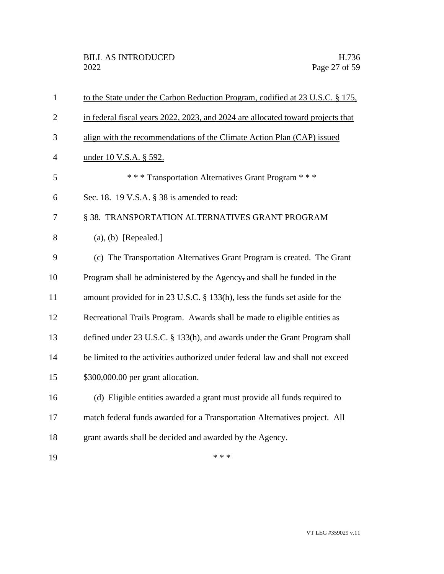| $\mathbf{1}$   | to the State under the Carbon Reduction Program, codified at 23 U.S.C. § 175.   |
|----------------|---------------------------------------------------------------------------------|
| $\overline{2}$ | in federal fiscal years 2022, 2023, and 2024 are allocated toward projects that |
| 3              | align with the recommendations of the Climate Action Plan (CAP) issued          |
| $\overline{4}$ | under 10 V.S.A. § 592.                                                          |
| 5              | *** Transportation Alternatives Grant Program ***                               |
| 6              | Sec. 18. 19 V.S.A. § 38 is amended to read:                                     |
| 7              | § 38. TRANSPORTATION ALTERNATIVES GRANT PROGRAM                                 |
| 8              | $(a), (b)$ [Repealed.]                                                          |
| 9              | (c) The Transportation Alternatives Grant Program is created. The Grant         |
| 10             | Program shall be administered by the Agency, and shall be funded in the         |
| 11             | amount provided for in 23 U.S.C. § 133(h), less the funds set aside for the     |
| 12             | Recreational Trails Program. Awards shall be made to eligible entities as       |
| 13             | defined under 23 U.S.C. § 133(h), and awards under the Grant Program shall      |
| 14             | be limited to the activities authorized under federal law and shall not exceed  |
| 15             | \$300,000.00 per grant allocation.                                              |
| 16             | (d) Eligible entities awarded a grant must provide all funds required to        |
| 17             | match federal funds awarded for a Transportation Alternatives project. All      |
| 18             | grant awards shall be decided and awarded by the Agency.                        |
| 19             | * * *                                                                           |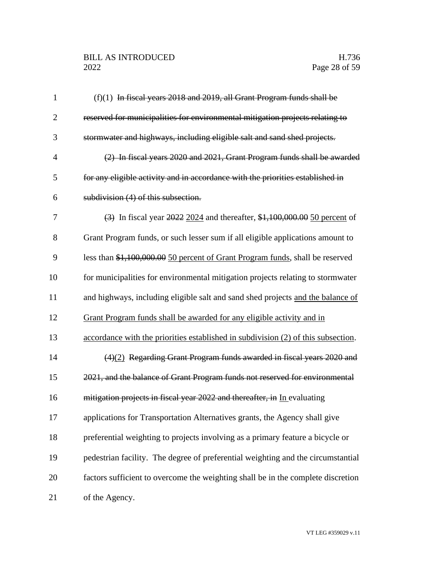## BILL AS INTRODUCED H.736<br>2022 Page 28 of 59

| $\mathbf{1}$   | (f)(1) In fiscal years 2018 and 2019, all Grant Program funds shall be            |
|----------------|-----------------------------------------------------------------------------------|
| $\overline{2}$ | reserved for municipalities for environmental mitigation projects relating to     |
| 3              | stormwater and highways, including eligible salt and sand shed projects.          |
| $\overline{4}$ | (2) In fiscal years 2020 and 2021, Grant Program funds shall be awarded           |
| 5              | for any eligible activity and in accordance with the priorities established in    |
| 6              | subdivision (4) of this subsection.                                               |
| 7              | (3) In fiscal year 2022 2024 and thereafter, \$1,100,000.00 50 percent of         |
| 8              | Grant Program funds, or such lesser sum if all eligible applications amount to    |
| 9              | less than \$1,100,000.00 50 percent of Grant Program funds, shall be reserved     |
| 10             | for municipalities for environmental mitigation projects relating to stormwater   |
| 11             | and highways, including eligible salt and sand shed projects and the balance of   |
| 12             | Grant Program funds shall be awarded for any eligible activity and in             |
| 13             | accordance with the priorities established in subdivision (2) of this subsection. |
| 14             | $(4)(2)$ Regarding Grant Program funds awarded in fiscal years 2020 and           |
| 15             | 2021, and the balance of Grant Program funds not reserved for environmental       |
| 16             | mitigation projects in fiscal year 2022 and thereafter, in In evaluating          |
| 17             | applications for Transportation Alternatives grants, the Agency shall give        |
| 18             | preferential weighting to projects involving as a primary feature a bicycle or    |
| 19             | pedestrian facility. The degree of preferential weighting and the circumstantial  |
| 20             | factors sufficient to overcome the weighting shall be in the complete discretion  |
| 21             | of the Agency.                                                                    |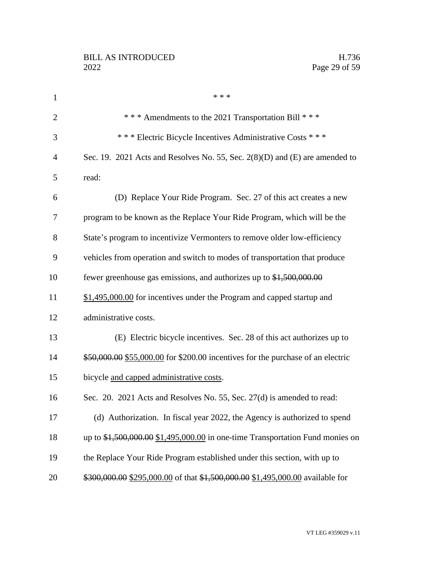| $\mathbf{1}$   | * * *                                                                                        |
|----------------|----------------------------------------------------------------------------------------------|
| $\overline{2}$ | *** Amendments to the 2021 Transportation Bill ***                                           |
| 3              | *** Electric Bicycle Incentives Administrative Costs ***                                     |
| $\overline{4}$ | Sec. 19. 2021 Acts and Resolves No. 55, Sec. $2(8)(D)$ and $(E)$ are amended to              |
| 5              | read:                                                                                        |
| 6              | (D) Replace Your Ride Program. Sec. 27 of this act creates a new                             |
| 7              | program to be known as the Replace Your Ride Program, which will be the                      |
| 8              | State's program to incentivize Vermonters to remove older low-efficiency                     |
| 9              | vehicles from operation and switch to modes of transportation that produce                   |
| 10             | fewer greenhouse gas emissions, and authorizes up to $\text{\$1,500,000.00}$                 |
| 11             | \$1,495,000.00 for incentives under the Program and capped startup and                       |
| 12             | administrative costs.                                                                        |
| 13             | (E) Electric bicycle incentives. Sec. 28 of this act authorizes up to                        |
| 14             | \$50,000.00 \$55,000.00 for \$200.00 incentives for the purchase of an electric              |
| 15             | bicycle and capped administrative costs.                                                     |
| 16             | Sec. 20. 2021 Acts and Resolves No. 55, Sec. 27(d) is amended to read:                       |
| 17             | (d) Authorization. In fiscal year 2022, the Agency is authorized to spend                    |
| 18             | up to $\frac{1}{2}$ , 500, 000.00 \$1, 495, 000.00 in one-time Transportation Fund monies on |
| 19             | the Replace Your Ride Program established under this section, with up to                     |
| 20             | \$300,000.00 \$295,000.00 of that \$1,500,000.00 \$1,495,000.00 available for                |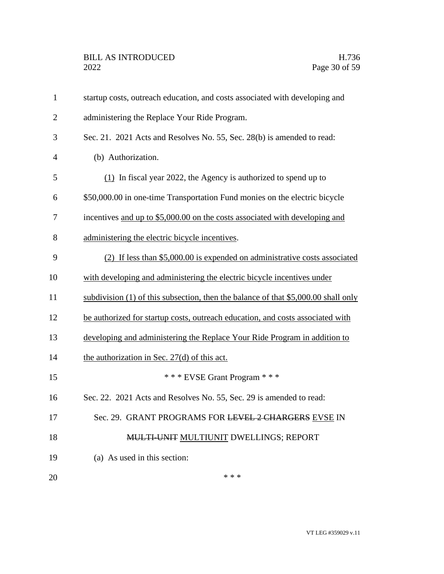| $\mathbf{1}$   | startup costs, outreach education, and costs associated with developing and         |
|----------------|-------------------------------------------------------------------------------------|
| $\overline{2}$ | administering the Replace Your Ride Program.                                        |
| 3              | Sec. 21. 2021 Acts and Resolves No. 55, Sec. 28(b) is amended to read:              |
| $\overline{4}$ | (b) Authorization.                                                                  |
| 5              | $(1)$ In fiscal year 2022, the Agency is authorized to spend up to                  |
| 6              | \$50,000.00 in one-time Transportation Fund monies on the electric bicycle          |
| 7              | incentives and up to \$5,000.00 on the costs associated with developing and         |
| 8              | administering the electric bicycle incentives.                                      |
| 9              | (2) If less than \$5,000.00 is expended on administrative costs associated          |
| 10             | with developing and administering the electric bicycle incentives under             |
| 11             | subdivision (1) of this subsection, then the balance of that $$5,000.00$ shall only |
| 12             | be authorized for startup costs, outreach education, and costs associated with      |
| 13             | developing and administering the Replace Your Ride Program in addition to           |
| 14             | the authorization in Sec. 27(d) of this act.                                        |
| 15             | *** EVSE Grant Program ***                                                          |
| 16             | Sec. 22. 2021 Acts and Resolves No. 55, Sec. 29 is amended to read:                 |
| 17             | Sec. 29. GRANT PROGRAMS FOR LEVEL 2 CHARGERS EVSE IN                                |
| 18             | MULTI-UNIT MULTIUNIT DWELLINGS; REPORT                                              |
| 19             | (a) As used in this section:                                                        |
| 20             | * * *                                                                               |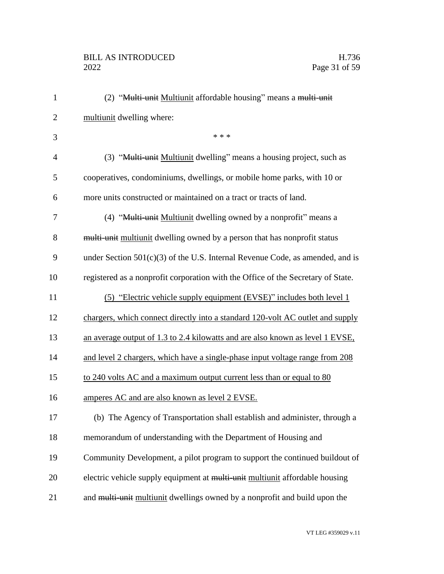# BILL AS INTRODUCED H.736<br>2022 Page 31 of 59

| $\mathbf{1}$   | (2) "Multi-unit Multiunit affordable housing" means a multi-unit                 |
|----------------|----------------------------------------------------------------------------------|
| $\overline{2}$ | multiunit dwelling where:                                                        |
| 3              | * * *                                                                            |
| $\overline{4}$ | (3) "Multi-unit Multiunit dwelling" means a housing project, such as             |
| 5              | cooperatives, condominiums, dwellings, or mobile home parks, with 10 or          |
| 6              | more units constructed or maintained on a tract or tracts of land.               |
| 7              | (4) "Multi-unit Multiunit dwelling owned by a nonprofit" means a                 |
| 8              | multi-unit multiunit dwelling owned by a person that has nonprofit status        |
| 9              | under Section $501(c)(3)$ of the U.S. Internal Revenue Code, as amended, and is  |
| 10             | registered as a nonprofit corporation with the Office of the Secretary of State. |
| 11             | (5) "Electric vehicle supply equipment (EVSE)" includes both level 1             |
| 12             | chargers, which connect directly into a standard 120-volt AC outlet and supply   |
| 13             | an average output of 1.3 to 2.4 kilowatts and are also known as level 1 EVSE,    |
| 14             | and level 2 chargers, which have a single-phase input voltage range from 208     |
| 15             | to 240 volts AC and a maximum output current less than or equal to 80            |
| 16             | amperes AC and are also known as level 2 EVSE.                                   |
| 17             | (b) The Agency of Transportation shall establish and administer, through a       |
| 18             | memorandum of understanding with the Department of Housing and                   |
| 19             | Community Development, a pilot program to support the continued buildout of      |
| 20             | electric vehicle supply equipment at multi-unit multiunit affordable housing     |
| 21             | and multi-unit multiunit dwellings owned by a nonprofit and build upon the       |
|                |                                                                                  |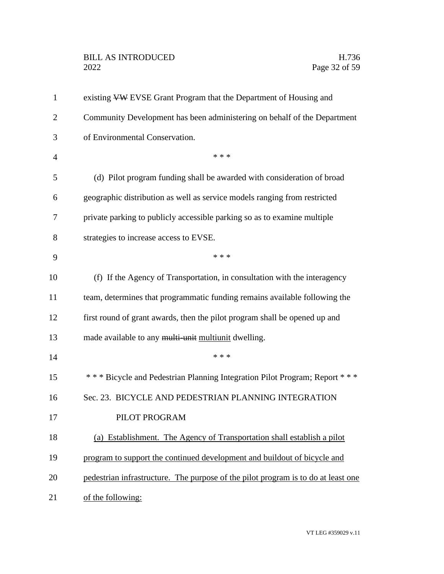# BILL AS INTRODUCED H.736<br>2022 Page 32 of 59

| $\mathbf{1}$   | existing VW EVSE Grant Program that the Department of Housing and                 |
|----------------|-----------------------------------------------------------------------------------|
| $\overline{2}$ | Community Development has been administering on behalf of the Department          |
| 3              | of Environmental Conservation.                                                    |
| 4              | * * *                                                                             |
| 5              | (d) Pilot program funding shall be awarded with consideration of broad            |
| 6              | geographic distribution as well as service models ranging from restricted         |
| 7              | private parking to publicly accessible parking so as to examine multiple          |
| 8              | strategies to increase access to EVSE.                                            |
| 9              | * * *                                                                             |
| 10             | (f) If the Agency of Transportation, in consultation with the interagency         |
| 11             | team, determines that programmatic funding remains available following the        |
| 12             | first round of grant awards, then the pilot program shall be opened up and        |
| 13             | made available to any multi-unit multiunit dwelling.                              |
| 14             | * * *                                                                             |
| 15             | *** Bicycle and Pedestrian Planning Integration Pilot Program; Report ***         |
| 16             | Sec. 23. BICYCLE AND PEDESTRIAN PLANNING INTEGRATION                              |
| 17             | PILOT PROGRAM                                                                     |
| 18             | (a) Establishment. The Agency of Transportation shall establish a pilot           |
| 19             | program to support the continued development and buildout of bicycle and          |
| 20             | pedestrian infrastructure. The purpose of the pilot program is to do at least one |
| 21             | of the following:                                                                 |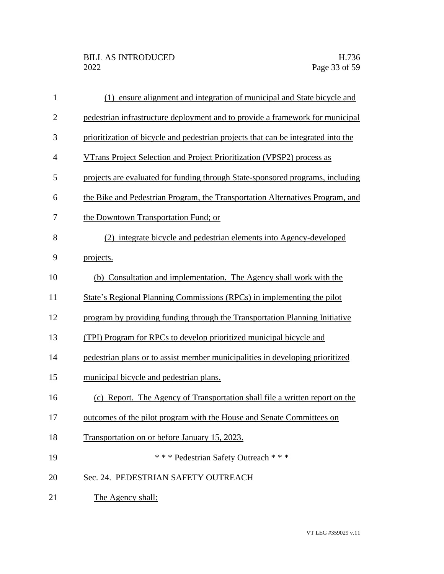| $\mathbf{1}$   | (1) ensure alignment and integration of municipal and State bicycle and           |
|----------------|-----------------------------------------------------------------------------------|
| $\overline{2}$ | pedestrian infrastructure deployment and to provide a framework for municipal     |
| 3              | prioritization of bicycle and pedestrian projects that can be integrated into the |
| $\overline{4}$ | VTrans Project Selection and Project Prioritization (VPSP2) process as            |
| 5              | projects are evaluated for funding through State-sponsored programs, including    |
| 6              | the Bike and Pedestrian Program, the Transportation Alternatives Program, and     |
| 7              | the Downtown Transportation Fund; or                                              |
| 8              | (2) integrate bicycle and pedestrian elements into Agency-developed               |
| 9              | projects.                                                                         |
| 10             | (b) Consultation and implementation. The Agency shall work with the               |
| 11             | State's Regional Planning Commissions (RPCs) in implementing the pilot            |
| 12             | program by providing funding through the Transportation Planning Initiative       |
| 13             | (TPI) Program for RPCs to develop prioritized municipal bicycle and               |
| 14             | pedestrian plans or to assist member municipalities in developing prioritized     |
| 15             | municipal bicycle and pedestrian plans.                                           |
| 16             | (c) Report. The Agency of Transportation shall file a written report on the       |
| 17             | outcomes of the pilot program with the House and Senate Committees on             |
| 18             | Transportation on or before January 15, 2023.                                     |
| 19             | *** Pedestrian Safety Outreach ***                                                |
| 20             | Sec. 24. PEDESTRIAN SAFETY OUTREACH                                               |
| 21             | The Agency shall:                                                                 |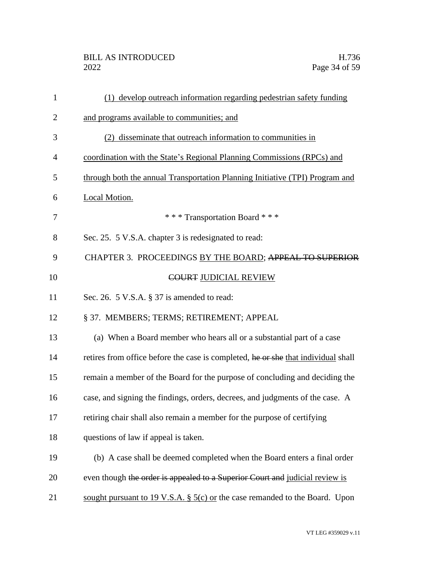| $\mathbf{1}$   | (1) develop outreach information regarding pedestrian safety funding              |
|----------------|-----------------------------------------------------------------------------------|
| $\overline{2}$ | and programs available to communities; and                                        |
| 3              | (2) disseminate that outreach information to communities in                       |
| 4              | coordination with the State's Regional Planning Commissions (RPCs) and            |
| 5              | through both the annual Transportation Planning Initiative (TPI) Program and      |
| 6              | Local Motion.                                                                     |
| 7              | *** Transportation Board ***                                                      |
| 8              | Sec. 25. 5 V.S.A. chapter 3 is redesignated to read:                              |
| 9              | CHAPTER 3. PROCEEDINGS BY THE BOARD; APPEAL TO SUPERIOR                           |
| 10             | <b>COURT JUDICIAL REVIEW</b>                                                      |
| 11             | Sec. 26. 5 V.S.A. § 37 is amended to read:                                        |
| 12             | § 37. MEMBERS; TERMS; RETIREMENT; APPEAL                                          |
| 13             | (a) When a Board member who hears all or a substantial part of a case             |
| 14             | retires from office before the case is completed, he or she that individual shall |
| 15             | remain a member of the Board for the purpose of concluding and deciding the       |
| 16             | case, and signing the findings, orders, decrees, and judgments of the case. A     |
| 17             | retiring chair shall also remain a member for the purpose of certifying           |
| 18             | questions of law if appeal is taken.                                              |
| 19             | (b) A case shall be deemed completed when the Board enters a final order          |
| 20             | even though the order is appealed to a Superior Court and judicial review is      |
| 21             | sought pursuant to 19 V.S.A. $\S$ 5(c) or the case remanded to the Board. Upon    |
|                |                                                                                   |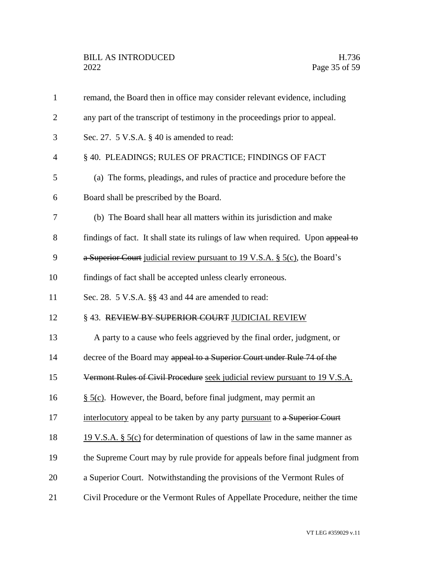| $\mathbf{1}$   | remand, the Board then in office may consider relevant evidence, including        |
|----------------|-----------------------------------------------------------------------------------|
| $\overline{2}$ | any part of the transcript of testimony in the proceedings prior to appeal.       |
| 3              | Sec. 27. $5$ V.S.A. $\S$ 40 is amended to read:                                   |
| 4              | § 40. PLEADINGS; RULES OF PRACTICE; FINDINGS OF FACT                              |
| 5              | (a) The forms, pleadings, and rules of practice and procedure before the          |
| 6              | Board shall be prescribed by the Board.                                           |
| 7              | (b) The Board shall hear all matters within its jurisdiction and make             |
| 8              | findings of fact. It shall state its rulings of law when required. Upon appeal to |
| 9              | a Superior Court judicial review pursuant to 19 V.S.A. $\S$ 5(c), the Board's     |
| 10             | findings of fact shall be accepted unless clearly erroneous.                      |
| 11             | Sec. 28. 5 V.S.A. §§ 43 and 44 are amended to read:                               |
| 12             | §43. REVIEW BY SUPERIOR COURT JUDICIAL REVIEW                                     |
| 13             | A party to a cause who feels aggrieved by the final order, judgment, or           |
| 14             | decree of the Board may appeal to a Superior Court under Rule 74 of the           |
| 15             | Vermont Rules of Civil Procedure seek judicial review pursuant to 19 V.S.A.       |
| 16             | $\S$ 5(c). However, the Board, before final judgment, may permit an               |
| 17             | interlocutory appeal to be taken by any party pursuant to a Superior Court        |
| 18             | 19 V.S.A. § $5(c)$ for determination of questions of law in the same manner as    |
| 19             | the Supreme Court may by rule provide for appeals before final judgment from      |
| 20             | a Superior Court. Notwithstanding the provisions of the Vermont Rules of          |
| 21             | Civil Procedure or the Vermont Rules of Appellate Procedure, neither the time     |
|                |                                                                                   |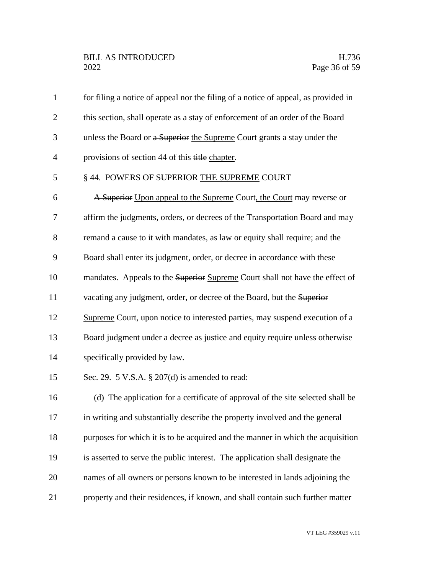| $\mathbf{1}$   | for filing a notice of appeal nor the filing of a notice of appeal, as provided in |
|----------------|------------------------------------------------------------------------------------|
| $\overline{2}$ | this section, shall operate as a stay of enforcement of an order of the Board      |
| 3              | unless the Board or a Superior the Supreme Court grants a stay under the           |
| $\overline{4}$ | provisions of section 44 of this title chapter.                                    |
| 5              | § 44. POWERS OF SUPERIOR THE SUPREME COURT                                         |
| 6              | A Superior Upon appeal to the Supreme Court, the Court may reverse or              |
| 7              | affirm the judgments, orders, or decrees of the Transportation Board and may       |
| 8              | remand a cause to it with mandates, as law or equity shall require; and the        |
| 9              | Board shall enter its judgment, order, or decree in accordance with these          |
| 10             | mandates. Appeals to the Superior Supreme Court shall not have the effect of       |
| 11             | vacating any judgment, order, or decree of the Board, but the Superior             |
| 12             | Supreme Court, upon notice to interested parties, may suspend execution of a       |
| 13             | Board judgment under a decree as justice and equity require unless otherwise       |
| 14             | specifically provided by law.                                                      |
| 15             | Sec. 29. 5 V.S.A. $\S 207(d)$ is amended to read:                                  |
| 16             | (d) The application for a certificate of approval of the site selected shall be    |
| 17             | in writing and substantially describe the property involved and the general        |
| 18             | purposes for which it is to be acquired and the manner in which the acquisition    |
| 19             | is asserted to serve the public interest. The application shall designate the      |
| 20             | names of all owners or persons known to be interested in lands adjoining the       |
| 21             | property and their residences, if known, and shall contain such further matter     |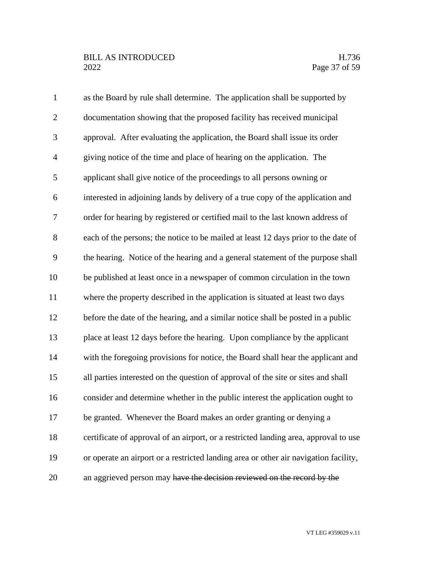# BILL AS INTRODUCED H.736<br>2022 Page 37 of 59

| $\mathbf{1}$   | as the Board by rule shall determine. The application shall be supported by          |
|----------------|--------------------------------------------------------------------------------------|
| $\overline{2}$ | documentation showing that the proposed facility has received municipal              |
| 3              | approval. After evaluating the application, the Board shall issue its order          |
| $\overline{4}$ | giving notice of the time and place of hearing on the application. The               |
| 5              | applicant shall give notice of the proceedings to all persons owning or              |
| 6              | interested in adjoining lands by delivery of a true copy of the application and      |
| 7              | order for hearing by registered or certified mail to the last known address of       |
| $8\,$          | each of the persons; the notice to be mailed at least 12 days prior to the date of   |
| 9              | the hearing. Notice of the hearing and a general statement of the purpose shall      |
| 10             | be published at least once in a newspaper of common circulation in the town          |
| 11             | where the property described in the application is situated at least two days        |
| 12             | before the date of the hearing, and a similar notice shall be posted in a public     |
| 13             | place at least 12 days before the hearing. Upon compliance by the applicant          |
| 14             | with the foregoing provisions for notice, the Board shall hear the applicant and     |
| 15             | all parties interested on the question of approval of the site or sites and shall    |
| 16             | consider and determine whether in the public interest the application ought to       |
| 17             | be granted. Whenever the Board makes an order granting or denying a                  |
| 18             | certificate of approval of an airport, or a restricted landing area, approval to use |
| 19             | or operate an airport or a restricted landing area or other air navigation facility, |
| 20             | an aggrieved person may have the decision reviewed on the record by the              |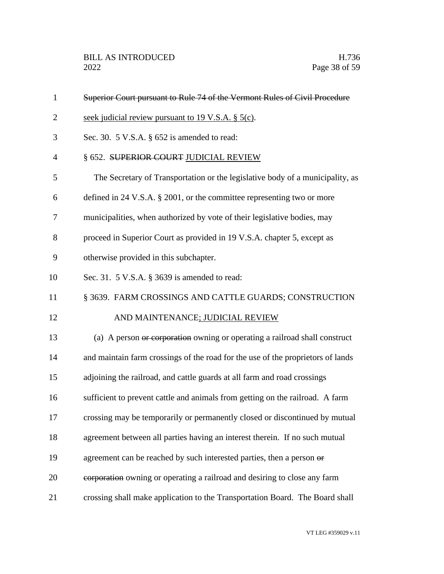| $\mathbf{1}$   | Superior Court pursuant to Rule 74 of the Vermont Rules of Civil Procedure      |
|----------------|---------------------------------------------------------------------------------|
| $\overline{2}$ | seek judicial review pursuant to 19 V.S.A. § 5(c).                              |
| 3              | Sec. 30. $5$ V.S.A. $\S$ 652 is amended to read:                                |
| $\overline{4}$ | § 652. SUPERIOR COURT JUDICIAL REVIEW                                           |
| 5              | The Secretary of Transportation or the legislative body of a municipality, as   |
| 6              | defined in 24 V.S.A. $\S$ 2001, or the committee representing two or more       |
| 7              | municipalities, when authorized by vote of their legislative bodies, may        |
| 8              | proceed in Superior Court as provided in 19 V.S.A. chapter 5, except as         |
| 9              | otherwise provided in this subchapter.                                          |
| 10             | Sec. 31. 5 V.S.A. § 3639 is amended to read:                                    |
| 11             | § 3639. FARM CROSSINGS AND CATTLE GUARDS; CONSTRUCTION                          |
| 12             | AND MAINTENANCE; JUDICIAL REVIEW                                                |
| 13             | (a) A person or corporation owning or operating a railroad shall construct      |
| 14             | and maintain farm crossings of the road for the use of the proprietors of lands |
| 15             | adjoining the railroad, and cattle guards at all farm and road crossings        |
| 16             | sufficient to prevent cattle and animals from getting on the railroad. A farm   |
| 17             | crossing may be temporarily or permanently closed or discontinued by mutual     |
| 18             | agreement between all parties having an interest therein. If no such mutual     |
| 19             | agreement can be reached by such interested parties, then a person or           |
| 20             | eorporation owning or operating a railroad and desiring to close any farm       |
| 21             | crossing shall make application to the Transportation Board. The Board shall    |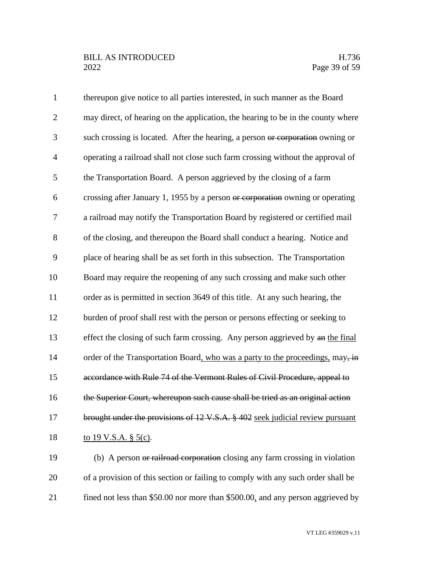| $\mathbf{1}$   | thereupon give notice to all parties interested, in such manner as the Board     |
|----------------|----------------------------------------------------------------------------------|
| $\overline{2}$ | may direct, of hearing on the application, the hearing to be in the county where |
| 3              | such crossing is located. After the hearing, a person or corporation owning or   |
| $\overline{4}$ | operating a railroad shall not close such farm crossing without the approval of  |
| 5              | the Transportation Board. A person aggrieved by the closing of a farm            |
| 6              | crossing after January 1, 1955 by a person or corporation owning or operating    |
| $\tau$         | a railroad may notify the Transportation Board by registered or certified mail   |
| 8              | of the closing, and thereupon the Board shall conduct a hearing. Notice and      |
| 9              | place of hearing shall be as set forth in this subsection. The Transportation    |
| 10             | Board may require the reopening of any such crossing and make such other         |
| 11             | order as is permitted in section 3649 of this title. At any such hearing, the    |
| 12             | burden of proof shall rest with the person or persons effecting or seeking to    |
| 13             | effect the closing of such farm crossing. Any person aggrieved by an the final   |
| 14             | order of the Transportation Board, who was a party to the proceedings, may, in   |
| 15             | accordance with Rule 74 of the Vermont Rules of Civil Procedure, appeal to       |
| 16             | the Superior Court, whereupon such cause shall be tried as an original action    |
| 17             | brought under the provisions of 12 V.S.A. § 402 seek judicial review pursuant    |
| 18             | to 19 V.S.A. § 5(c).                                                             |
| 19             | (b) A person or railroad corporation closing any farm crossing in violation      |
| 20             | of a provision of this section or failing to comply with any such order shall be |
|                |                                                                                  |

21 fined not less than \$50.00 nor more than \$500.00, and any person aggrieved by

VT LEG #359029 v.11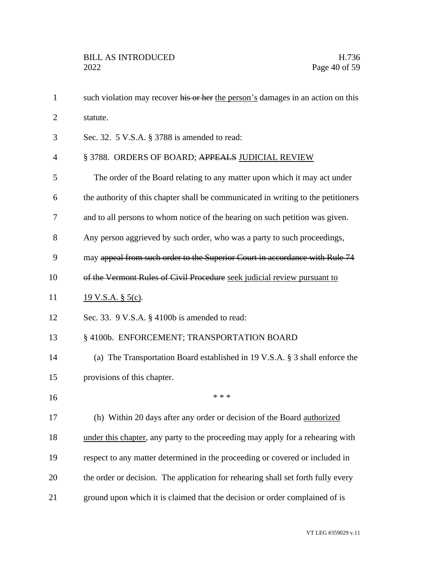| $\mathbf{1}$   | such violation may recover his or her the person's damages in an action on this   |
|----------------|-----------------------------------------------------------------------------------|
| $\overline{2}$ | statute.                                                                          |
| 3              | Sec. 32. 5 V.S.A. § 3788 is amended to read:                                      |
| 4              | § 3788. ORDERS OF BOARD; APPEALS JUDICIAL REVIEW                                  |
| 5              | The order of the Board relating to any matter upon which it may act under         |
| 6              | the authority of this chapter shall be communicated in writing to the petitioners |
| 7              | and to all persons to whom notice of the hearing on such petition was given.      |
| 8              | Any person aggrieved by such order, who was a party to such proceedings,          |
| 9              | may appeal from such order to the Superior Court in accordance with Rule 74       |
| 10             | of the Vermont Rules of Civil Procedure seek judicial review pursuant to          |
| 11             | $19 \text{ V.S.A. }$ § 5(c).                                                      |
| 12             | Sec. 33. 9 V.S.A. § 4100b is amended to read:                                     |
| 13             | § 4100b. ENFORCEMENT; TRANSPORTATION BOARD                                        |
| 14             | (a) The Transportation Board established in 19 V.S.A. $\S$ 3 shall enforce the    |
| 15             | provisions of this chapter.                                                       |
| 16             | * * *                                                                             |
| 17             | (h) Within 20 days after any order or decision of the Board authorized            |
| 18             | under this chapter, any party to the proceeding may apply for a rehearing with    |
| 19             | respect to any matter determined in the proceeding or covered or included in      |
| 20             | the order or decision. The application for rehearing shall set forth fully every  |
| 21             | ground upon which it is claimed that the decision or order complained of is       |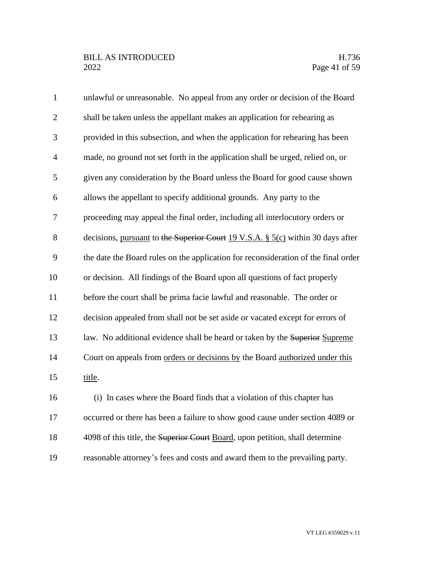# BILL AS INTRODUCED H.736<br>2022 Page 41 of 59

| $\mathbf{1}$   | unlawful or unreasonable. No appeal from any order or decision of the Board        |
|----------------|------------------------------------------------------------------------------------|
| $\overline{2}$ | shall be taken unless the appellant makes an application for rehearing as          |
| 3              | provided in this subsection, and when the application for rehearing has been       |
| $\overline{4}$ | made, no ground not set forth in the application shall be urged, relied on, or     |
| 5              | given any consideration by the Board unless the Board for good cause shown         |
| 6              | allows the appellant to specify additional grounds. Any party to the               |
| 7              | proceeding may appeal the final order, including all interlocutory orders or       |
| 8              | decisions, pursuant to the Superior Court 19 V.S.A. $\S$ 5(c) within 30 days after |
| 9              | the date the Board rules on the application for reconsideration of the final order |
| 10             | or decision. All findings of the Board upon all questions of fact properly         |
| 11             | before the court shall be prima facie lawful and reasonable. The order or          |
| 12             | decision appealed from shall not be set aside or vacated except for errors of      |
| 13             | law. No additional evidence shall be heard or taken by the Superior Supreme        |
| 14             | Court on appeals from orders or decisions by the Board authorized under this       |
| 15             | title.                                                                             |
| 16             | (i) In cases where the Board finds that a violation of this chapter has            |
| 17             | occurred or there has been a failure to show good cause under section 4089 or      |
| 18             | 4098 of this title, the Superior Court Board, upon petition, shall determine       |
| 19             | reasonable attorney's fees and costs and award them to the prevailing party.       |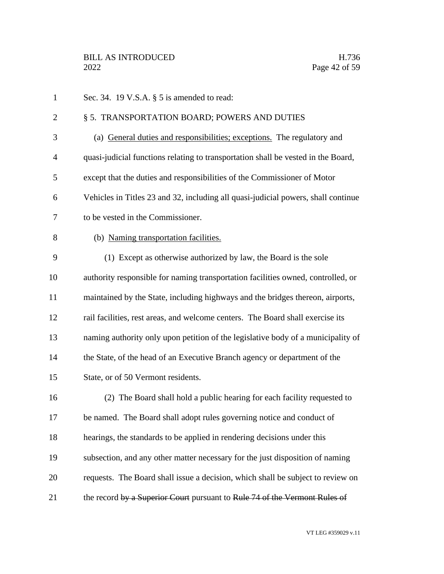| $\mathbf{1}$   | Sec. 34. 19 V.S.A. $\S$ 5 is amended to read:                                     |
|----------------|-----------------------------------------------------------------------------------|
| $\overline{2}$ | § 5. TRANSPORTATION BOARD; POWERS AND DUTIES                                      |
| 3              | (a) General duties and responsibilities; exceptions. The regulatory and           |
| $\overline{4}$ | quasi-judicial functions relating to transportation shall be vested in the Board, |
| 5              | except that the duties and responsibilities of the Commissioner of Motor          |
| 6              | Vehicles in Titles 23 and 32, including all quasi-judicial powers, shall continue |
| 7              | to be vested in the Commissioner.                                                 |
| 8              | (b) Naming transportation facilities.                                             |
| 9              | (1) Except as otherwise authorized by law, the Board is the sole                  |
| 10             | authority responsible for naming transportation facilities owned, controlled, or  |
| 11             | maintained by the State, including highways and the bridges thereon, airports,    |
| 12             | rail facilities, rest areas, and welcome centers. The Board shall exercise its    |
| 13             | naming authority only upon petition of the legislative body of a municipality of  |
| 14             | the State, of the head of an Executive Branch agency or department of the         |
| 15             | State, or of 50 Vermont residents.                                                |
| 16             | (2) The Board shall hold a public hearing for each facility requested to          |
| 17             | be named. The Board shall adopt rules governing notice and conduct of             |
| 18             | hearings, the standards to be applied in rendering decisions under this           |
| 19             | subsection, and any other matter necessary for the just disposition of naming     |
| 20             | requests. The Board shall issue a decision, which shall be subject to review on   |
| 21             | the record by a Superior Court pursuant to Rule 74 of the Vermont Rules of        |
|                |                                                                                   |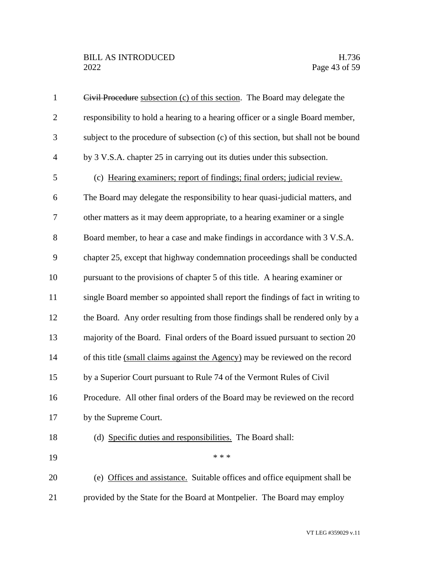| $\mathbf{1}$   | Civil Procedure subsection (c) of this section. The Board may delegate the         |
|----------------|------------------------------------------------------------------------------------|
| $\mathfrak{2}$ | responsibility to hold a hearing to a hearing officer or a single Board member,    |
| 3              | subject to the procedure of subsection (c) of this section, but shall not be bound |
| $\overline{4}$ | by 3 V.S.A. chapter 25 in carrying out its duties under this subsection.           |
| 5              | (c) Hearing examiners; report of findings; final orders; judicial review.          |
| 6              | The Board may delegate the responsibility to hear quasi-judicial matters, and      |
| 7              | other matters as it may deem appropriate, to a hearing examiner or a single        |
| 8              | Board member, to hear a case and make findings in accordance with 3 V.S.A.         |
| 9              | chapter 25, except that highway condemnation proceedings shall be conducted        |
| 10             | pursuant to the provisions of chapter 5 of this title. A hearing examiner or       |
| 11             | single Board member so appointed shall report the findings of fact in writing to   |
| 12             | the Board. Any order resulting from those findings shall be rendered only by a     |
| 13             | majority of the Board. Final orders of the Board issued pursuant to section 20     |
| 14             | of this title (small claims against the Agency) may be reviewed on the record      |
| 15             | by a Superior Court pursuant to Rule 74 of the Vermont Rules of Civil              |
| 16             | Procedure. All other final orders of the Board may be reviewed on the record       |
| 17             | by the Supreme Court.                                                              |
| 18             | (d) Specific duties and responsibilities. The Board shall:                         |
| 19             | * * *                                                                              |
| 20             | (e) Offices and assistance. Suitable offices and office equipment shall be         |
| 21             | provided by the State for the Board at Montpelier. The Board may employ            |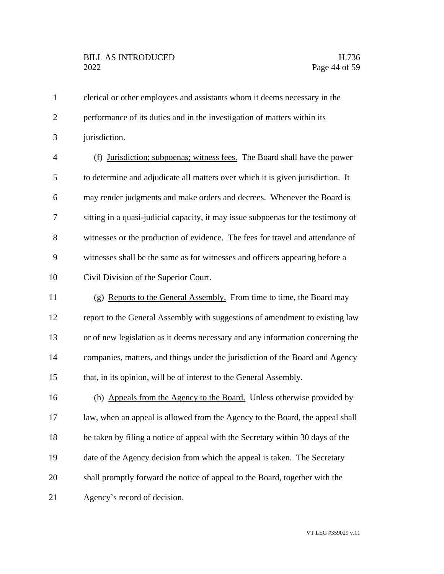clerical or other employees and assistants whom it deems necessary in the performance of its duties and in the investigation of matters within its jurisdiction. (f) Jurisdiction; subpoenas; witness fees. The Board shall have the power to determine and adjudicate all matters over which it is given jurisdiction. It may render judgments and make orders and decrees. Whenever the Board is sitting in a quasi-judicial capacity, it may issue subpoenas for the testimony of witnesses or the production of evidence. The fees for travel and attendance of witnesses shall be the same as for witnesses and officers appearing before a Civil Division of the Superior Court. (g) Reports to the General Assembly. From time to time, the Board may report to the General Assembly with suggestions of amendment to existing law or of new legislation as it deems necessary and any information concerning the companies, matters, and things under the jurisdiction of the Board and Agency that, in its opinion, will be of interest to the General Assembly. 16 (h) Appeals from the Agency to the Board. Unless otherwise provided by law, when an appeal is allowed from the Agency to the Board, the appeal shall be taken by filing a notice of appeal with the Secretary within 30 days of the 19 date of the Agency decision from which the appeal is taken. The Secretary shall promptly forward the notice of appeal to the Board, together with the Agency's record of decision.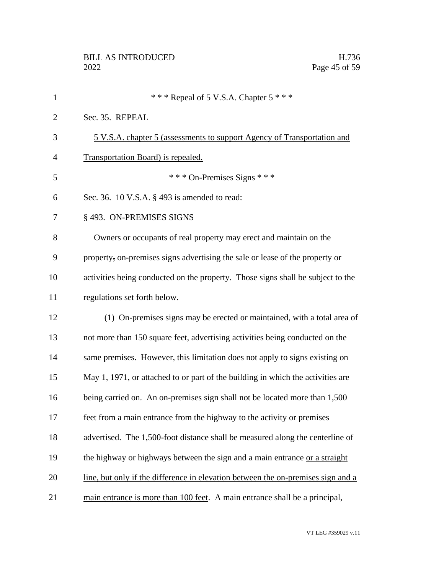| $\mathbf{1}$   | *** Repeal of 5 V.S.A. Chapter $5$ ***                                           |
|----------------|----------------------------------------------------------------------------------|
| $\overline{2}$ | Sec. 35. REPEAL                                                                  |
| 3              | 5 V.S.A. chapter 5 (assessments to support Agency of Transportation and          |
| 4              | Transportation Board) is repealed.                                               |
| 5              | *** On-Premises Signs ***                                                        |
| 6              | Sec. 36. 10 V.S.A. § 493 is amended to read:                                     |
| 7              | § 493. ON-PREMISES SIGNS                                                         |
| 8              | Owners or occupants of real property may erect and maintain on the               |
| 9              | property, on-premises signs advertising the sale or lease of the property or     |
| 10             | activities being conducted on the property. Those signs shall be subject to the  |
| 11             | regulations set forth below.                                                     |
| 12             | (1) On-premises signs may be erected or maintained, with a total area of         |
| 13             | not more than 150 square feet, advertising activities being conducted on the     |
| 14             | same premises. However, this limitation does not apply to signs existing on      |
| 15             | May 1, 1971, or attached to or part of the building in which the activities are  |
| 16             | being carried on. An on-premises sign shall not be located more than 1,500       |
| 17             | feet from a main entrance from the highway to the activity or premises           |
| 18             | advertised. The 1,500-foot distance shall be measured along the centerline of    |
| 19             | the highway or highways between the sign and a main entrance or a straight       |
| 20             | line, but only if the difference in elevation between the on-premises sign and a |
| 21             | main entrance is more than 100 feet. A main entrance shall be a principal,       |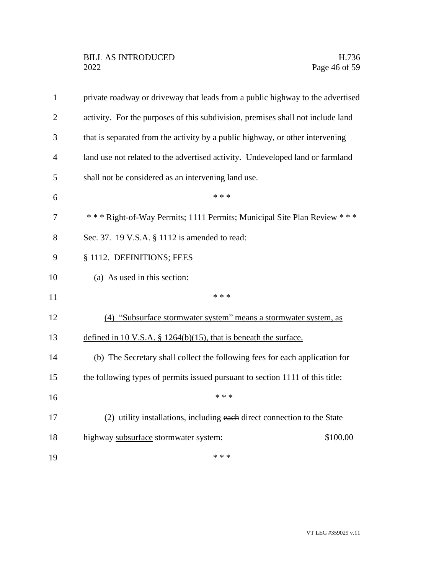| $\mathbf{1}$   | private roadway or driveway that leads from a public highway to the advertised  |
|----------------|---------------------------------------------------------------------------------|
| $\overline{2}$ | activity. For the purposes of this subdivision, premises shall not include land |
| 3              | that is separated from the activity by a public highway, or other intervening   |
| 4              | land use not related to the advertised activity. Undeveloped land or farmland   |
| 5              | shall not be considered as an intervening land use.                             |
| 6              | * * *                                                                           |
| 7              | *** Right-of-Way Permits; 1111 Permits; Municipal Site Plan Review ***          |
| 8              | Sec. 37. 19 V.S.A. § 1112 is amended to read:                                   |
| 9              | § 1112. DEFINITIONS; FEES                                                       |
| 10             | (a) As used in this section:                                                    |
| 11             | * * *                                                                           |
| 12             | (4) "Subsurface stormwater system" means a stormwater system, as                |
| 13             | defined in 10 V.S.A. $\S$ 1264(b)(15), that is beneath the surface.             |
| 14             | (b) The Secretary shall collect the following fees for each application for     |
| 15             | the following types of permits issued pursuant to section 1111 of this title:   |
| 16             | * * *                                                                           |
| 17             | (2) utility installations, including each direct connection to the State        |
| 18             | highway subsurface stormwater system:<br>\$100.00                               |
| 19             | * * *                                                                           |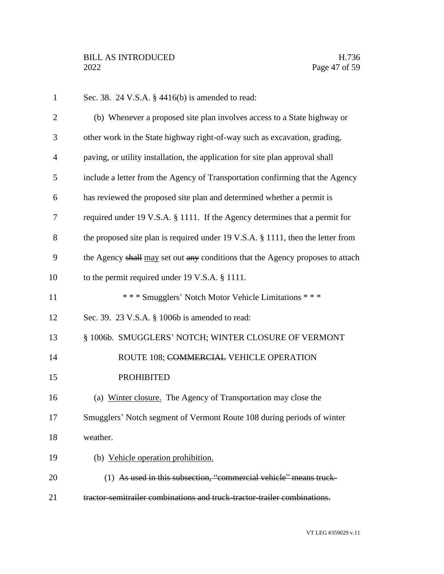| $\mathbf{1}$   | Sec. 38. 24 V.S.A. § 4416(b) is amended to read:                                |
|----------------|---------------------------------------------------------------------------------|
| $\overline{2}$ | (b) Whenever a proposed site plan involves access to a State highway or         |
| 3              | other work in the State highway right-of-way such as excavation, grading,       |
| $\overline{4}$ | paving, or utility installation, the application for site plan approval shall   |
| 5              | include a letter from the Agency of Transportation confirming that the Agency   |
| 6              | has reviewed the proposed site plan and determined whether a permit is          |
| 7              | required under 19 V.S.A. § 1111. If the Agency determines that a permit for     |
| 8              | the proposed site plan is required under 19 V.S.A. § 1111, then the letter from |
| 9              | the Agency shall may set out any conditions that the Agency proposes to attach  |
| 10             | to the permit required under 19 V.S.A. § 1111.                                  |
| 11             | *** Smugglers' Notch Motor Vehicle Limitations ***                              |
| 12             | Sec. 39. 23 V.S.A. § 1006b is amended to read:                                  |
| 13             | § 1006b. SMUGGLERS' NOTCH; WINTER CLOSURE OF VERMONT                            |
| 14             | ROUTE 108; COMMERCIAL VEHICLE OPERATION                                         |
| 15             | <b>PROHIBITED</b>                                                               |
| 16             | (a) Winter closure. The Agency of Transportation may close the                  |
| 17             | Smugglers' Notch segment of Vermont Route 108 during periods of winter          |
| 18             | weather.                                                                        |
| 19             | (b) Vehicle operation prohibition.                                              |
| 20             | (1) As used in this subsection, "commercial vehicle" means truck-               |
| 21             | tractor-semitrailer combinations and truck-tractor-trailer combinations.        |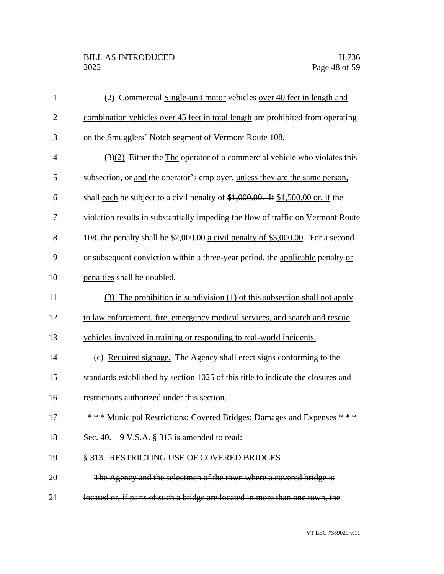## BILL AS INTRODUCED H.736<br>2022 Page 48 of 59

| $\mathbf{1}$   | (2) Commercial Single-unit motor vehicles over 40 feet in length and                         |
|----------------|----------------------------------------------------------------------------------------------|
| $\overline{2}$ | combination vehicles over 45 feet in total length are prohibited from operating              |
| 3              | on the Smugglers' Notch segment of Vermont Route 108.                                        |
| $\overline{4}$ | $\left(\frac{3}{2}\right)$ Either the The operator of a commercial vehicle who violates this |
| 5              | subsection, or and the operator's employer, unless they are the same person,                 |
| 6              | shall each be subject to a civil penalty of $$1,000.00$ . If $$1,500.00$ or, if the          |
| 7              | violation results in substantially impeding the flow of traffic on Vermont Route             |
| 8              | 108, the penalty shall be \$2,000.00 a civil penalty of \$3,000.00. For a second             |
| 9              | or subsequent conviction within a three-year period, the applicable penalty or               |
| 10             | penalties shall be doubled.                                                                  |
| 11             | (3) The prohibition in subdivision (1) of this subsection shall not apply                    |
| 12             | to law enforcement, fire, emergency medical services, and search and rescue                  |
| 13             | vehicles involved in training or responding to real-world incidents.                         |
| 14             | (c) Required signage. The Agency shall erect signs conforming to the                         |
| 15             | standards established by section 1025 of this title to indicate the closures and             |
| 16             | restrictions authorized under this section.                                                  |
| 17             | *** Municipal Restrictions; Covered Bridges; Damages and Expenses ***                        |
| 18             | Sec. 40. 19 V.S.A. § 313 is amended to read:                                                 |
| 19             | § 313. RESTRICTING USE OF COVERED BRIDGES                                                    |
| 20             | The Agency and the selectmen of the town where a covered bridge is                           |
| 21             | located or, if parts of such a bridge are located in more than one town, the                 |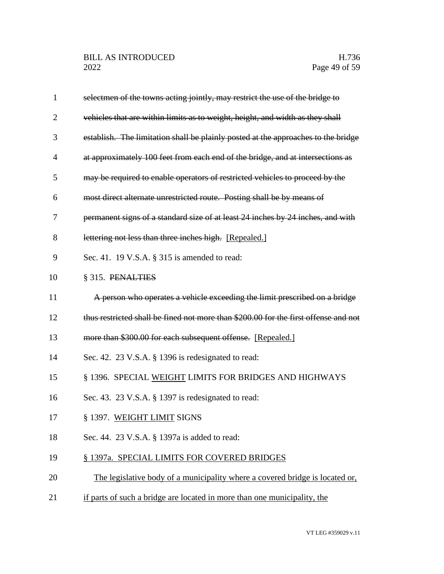| 1              | selectmen of the towns acting jointly, may restrict the use of the bridge to        |
|----------------|-------------------------------------------------------------------------------------|
| $\overline{2}$ | vehicles that are within limits as to weight, height, and width as they shall       |
| 3              | establish. The limitation shall be plainly posted at the approaches to the bridge   |
| 4              | at approximately 100 feet from each end of the bridge, and at intersections as      |
| 5              | may be required to enable operators of restricted vehicles to proceed by the        |
| 6              | most direct alternate unrestricted route. Posting shall be by means of              |
| 7              | permanent signs of a standard size of at least 24 inches by 24 inches, and with     |
| 8              | lettering not less than three inches high. [Repealed.]                              |
| 9              | Sec. 41. 19 V.S.A. § 315 is amended to read:                                        |
| 10             | § 315. PENALTIES                                                                    |
| 11             | A person who operates a vehicle exceeding the limit prescribed on a bridge          |
| 12             | thus restricted shall be fined not more than \$200.00 for the first offense and not |
| 13             | more than \$300.00 for each subsequent offense. [Repealed.]                         |
| 14             | Sec. 42. 23 V.S.A. § 1396 is redesignated to read:                                  |
| 15             | § 1396. SPECIAL WEIGHT LIMITS FOR BRIDGES AND HIGHWAYS                              |
| 16             | Sec. 43. 23 V.S.A. § 1397 is redesignated to read:                                  |
| 17             | § 1397. WEIGHT LIMIT SIGNS                                                          |
| 18             | Sec. 44. 23 V.S.A. § 1397a is added to read:                                        |
| 19             | § 1397a. SPECIAL LIMITS FOR COVERED BRIDGES                                         |
| 20             | The legislative body of a municipality where a covered bridge is located or,        |
| 21             | if parts of such a bridge are located in more than one municipality, the            |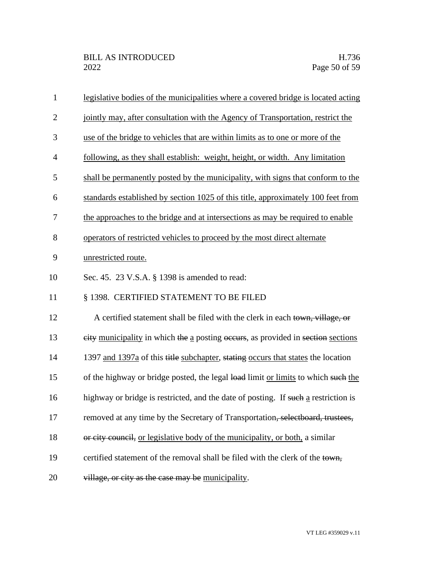| $\mathbf{1}$   | legislative bodies of the municipalities where a covered bridge is located acting  |
|----------------|------------------------------------------------------------------------------------|
| $\overline{2}$ | jointly may, after consultation with the Agency of Transportation, restrict the    |
| 3              | use of the bridge to vehicles that are within limits as to one or more of the      |
| $\overline{4}$ | following, as they shall establish: weight, height, or width. Any limitation       |
| 5              | shall be permanently posted by the municipality, with signs that conform to the    |
| 6              | standards established by section 1025 of this title, approximately 100 feet from   |
| 7              | the approaches to the bridge and at intersections as may be required to enable     |
| 8              | operators of restricted vehicles to proceed by the most direct alternate           |
| 9              | unrestricted route.                                                                |
| 10             | Sec. 45. 23 V.S.A. § 1398 is amended to read:                                      |
| 11             | § 1398. CERTIFIED STATEMENT TO BE FILED                                            |
| 12             | A certified statement shall be filed with the clerk in each town, village, or      |
| 13             | eity municipality in which the a posting occurs, as provided in section sections   |
| 14             | 1397 and 1397a of this title subchapter, stating occurs that states the location   |
| 15             | of the highway or bridge posted, the legal load limit or limits to which such the  |
| 16             | highway or bridge is restricted, and the date of posting. If such a restriction is |
| 17             | removed at any time by the Secretary of Transportation, selectboard, trustees,     |
| 18             | or city council, or legislative body of the municipality, or both, a similar       |
| 19             |                                                                                    |
|                | certified statement of the removal shall be filed with the clerk of the town,      |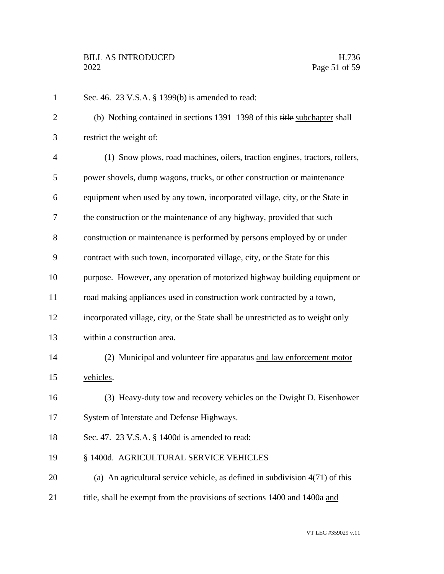| $\mathbf{1}$   | Sec. 46. 23 V.S.A. § 1399(b) is amended to read:                                 |
|----------------|----------------------------------------------------------------------------------|
| $\overline{2}$ | (b) Nothing contained in sections 1391–1398 of this title subchapter shall       |
| 3              | restrict the weight of:                                                          |
| $\overline{4}$ | (1) Snow plows, road machines, oilers, traction engines, tractors, rollers,      |
| 5              | power shovels, dump wagons, trucks, or other construction or maintenance         |
| 6              | equipment when used by any town, incorporated village, city, or the State in     |
| 7              | the construction or the maintenance of any highway, provided that such           |
| 8              | construction or maintenance is performed by persons employed by or under         |
| 9              | contract with such town, incorporated village, city, or the State for this       |
| 10             | purpose. However, any operation of motorized highway building equipment or       |
| 11             | road making appliances used in construction work contracted by a town,           |
| 12             | incorporated village, city, or the State shall be unrestricted as to weight only |
| 13             | within a construction area.                                                      |
| 14             | (2) Municipal and volunteer fire apparatus and law enforcement motor             |
| 15             | vehicles.                                                                        |
| 16             | (3) Heavy-duty tow and recovery vehicles on the Dwight D. Eisenhower             |
| 17             | System of Interstate and Defense Highways.                                       |
| 18             | Sec. 47. 23 V.S.A. § 1400d is amended to read:                                   |
| 19             | § 1400d. AGRICULTURAL SERVICE VEHICLES                                           |
| 20             | (a) An agricultural service vehicle, as defined in subdivision $4(71)$ of this   |
| 21             | title, shall be exempt from the provisions of sections 1400 and 1400a and        |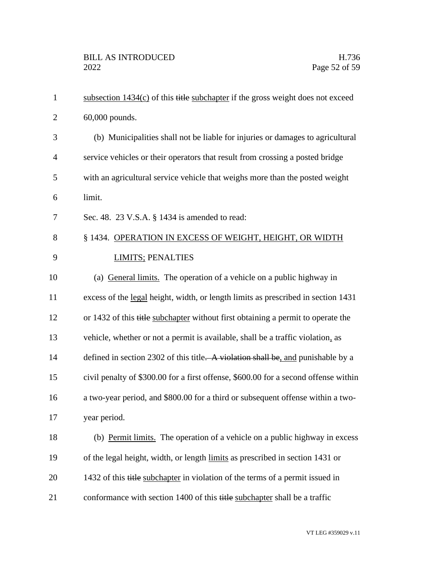| $\mathbf{1}$   | subsection $1434(c)$ of this title subchapter if the gross weight does not exceed   |
|----------------|-------------------------------------------------------------------------------------|
| $\overline{2}$ | 60,000 pounds.                                                                      |
| 3              | (b) Municipalities shall not be liable for injuries or damages to agricultural      |
| $\overline{4}$ | service vehicles or their operators that result from crossing a posted bridge       |
| 5              | with an agricultural service vehicle that weighs more than the posted weight        |
| 6              | limit.                                                                              |
| 7              | Sec. 48. 23 V.S.A. § 1434 is amended to read:                                       |
| 8              | § 1434. OPERATION IN EXCESS OF WEIGHT, HEIGHT, OR WIDTH                             |
| 9              | <b>LIMITS; PENALTIES</b>                                                            |
| 10             | (a) General limits. The operation of a vehicle on a public highway in               |
| 11             | excess of the legal height, width, or length limits as prescribed in section 1431   |
| 12             | or 1432 of this title subchapter without first obtaining a permit to operate the    |
| 13             | vehicle, whether or not a permit is available, shall be a traffic violation, as     |
| 14             | defined in section 2302 of this title. A violation shall be, and punishable by a    |
| 15             | civil penalty of \$300.00 for a first offense, \$600.00 for a second offense within |
| 16             | a two-year period, and \$800.00 for a third or subsequent offense within a two-     |
| 17             | year period.                                                                        |
| 18             | (b) Permit limits. The operation of a vehicle on a public highway in excess         |
| 19             | of the legal height, width, or length limits as prescribed in section 1431 or       |
| 20             | 1432 of this title subchapter in violation of the terms of a permit issued in       |
| 21             | conformance with section 1400 of this title subchapter shall be a traffic           |
|                |                                                                                     |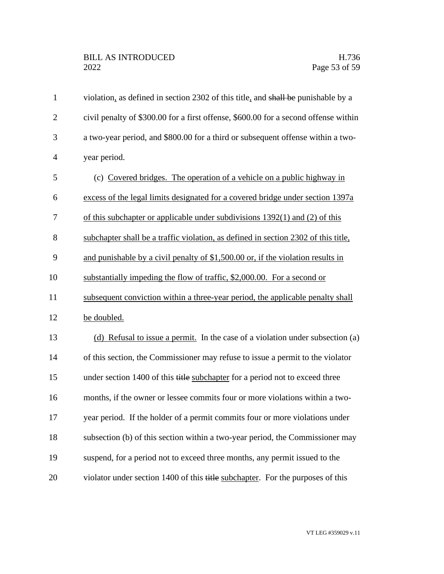| $\mathbf{1}$   | violation, as defined in section 2302 of this title, and shall be punishable by a   |
|----------------|-------------------------------------------------------------------------------------|
| $\overline{2}$ | civil penalty of \$300.00 for a first offense, \$600.00 for a second offense within |
| 3              | a two-year period, and \$800.00 for a third or subsequent offense within a two-     |
| $\overline{4}$ | year period.                                                                        |
| 5              | (c) Covered bridges. The operation of a vehicle on a public highway in              |
| 6              | excess of the legal limits designated for a covered bridge under section 1397a      |
| 7              | of this subchapter or applicable under subdivisions 1392(1) and (2) of this         |
| 8              | subchapter shall be a traffic violation, as defined in section 2302 of this title,  |
| 9              | and punishable by a civil penalty of \$1,500.00 or, if the violation results in     |
| 10             | substantially impeding the flow of traffic, \$2,000.00. For a second or             |
| 11             | subsequent conviction within a three-year period, the applicable penalty shall      |
| 12             | be doubled.                                                                         |
| 13             | (d) Refusal to issue a permit. In the case of a violation under subsection (a)      |
| 14             | of this section, the Commissioner may refuse to issue a permit to the violator      |
| 15             | under section 1400 of this title subchapter for a period not to exceed three        |
| 16             | months, if the owner or lessee commits four or more violations within a two-        |
| 17             | year period. If the holder of a permit commits four or more violations under        |
| 18             | subsection (b) of this section within a two-year period, the Commissioner may       |
| 19             | suspend, for a period not to exceed three months, any permit issued to the          |
| 20             | violator under section 1400 of this title subchapter. For the purposes of this      |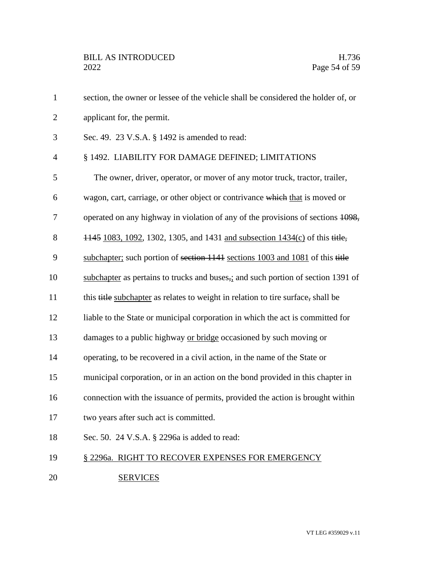| $\mathbf{1}$   | section, the owner or lessee of the vehicle shall be considered the holder of, or                        |
|----------------|----------------------------------------------------------------------------------------------------------|
| $\overline{2}$ | applicant for, the permit.                                                                               |
| 3              | Sec. 49. 23 V.S.A. § 1492 is amended to read:                                                            |
| $\overline{4}$ | § 1492. LIABILITY FOR DAMAGE DEFINED; LIMITATIONS                                                        |
| 5              | The owner, driver, operator, or mover of any motor truck, tractor, trailer,                              |
| 6              | wagon, cart, carriage, or other object or contrivance which that is moved or                             |
| 7              | operated on any highway in violation of any of the provisions of sections 1098,                          |
| 8              | 1445 1083, 1092, 1302, 1305, and 1431 and subsection 1434(c) of this title,                              |
| 9              | subchapter; such portion of section 1141 sections 1003 and 1081 of this title                            |
| 10             | subchapter as pertains to trucks and buses <sub><math>2</math></sub> and such portion of section 1391 of |
| 11             | this title subchapter as relates to weight in relation to tire surface, shall be                         |
| 12             | liable to the State or municipal corporation in which the act is committed for                           |
| 13             | damages to a public highway or bridge occasioned by such moving or                                       |
| 14             | operating, to be recovered in a civil action, in the name of the State or                                |
| 15             | municipal corporation, or in an action on the bond provided in this chapter in                           |
| 16             | connection with the issuance of permits, provided the action is brought within                           |
| 17             | two years after such act is committed.                                                                   |
| 18             | Sec. 50. 24 V.S.A. § 2296a is added to read:                                                             |
| 19             | § 2296a. RIGHT TO RECOVER EXPENSES FOR EMERGENCY                                                         |
| 20             | <b>SERVICES</b>                                                                                          |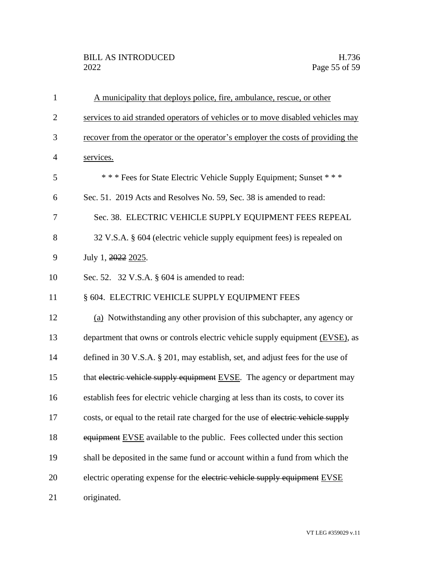| $\mathbf{1}$   | A municipality that deploys police, fire, ambulance, rescue, or other             |
|----------------|-----------------------------------------------------------------------------------|
| $\overline{2}$ | services to aid stranded operators of vehicles or to move disabled vehicles may   |
| 3              | recover from the operator or the operator's employer the costs of providing the   |
| $\overline{4}$ | services.                                                                         |
| 5              | *** Fees for State Electric Vehicle Supply Equipment; Sunset ***                  |
| 6              | Sec. 51. 2019 Acts and Resolves No. 59, Sec. 38 is amended to read:               |
| 7              | Sec. 38. ELECTRIC VEHICLE SUPPLY EQUIPMENT FEES REPEAL                            |
| 8              | 32 V.S.A. § 604 (electric vehicle supply equipment fees) is repealed on           |
| 9              | July 1, 2022 2025.                                                                |
| 10             | Sec. 52. 32 V.S.A. § 604 is amended to read:                                      |
| 11             | § 604. ELECTRIC VEHICLE SUPPLY EQUIPMENT FEES                                     |
| 12             | (a) Notwithstanding any other provision of this subchapter, any agency or         |
| 13             | department that owns or controls electric vehicle supply equipment (EVSE), as     |
| 14             | defined in 30 V.S.A. § 201, may establish, set, and adjust fees for the use of    |
| 15             | that electric vehicle supply equipment EVSE. The agency or department may         |
| 16             | establish fees for electric vehicle charging at less than its costs, to cover its |
| 17             | costs, or equal to the retail rate charged for the use of electric vehicle supply |
| 18             | equipment EVSE available to the public. Fees collected under this section         |
| 19             | shall be deposited in the same fund or account within a fund from which the       |
| 20             | electric operating expense for the electric vehicle supply equipment EVSE         |
| 21             | originated.                                                                       |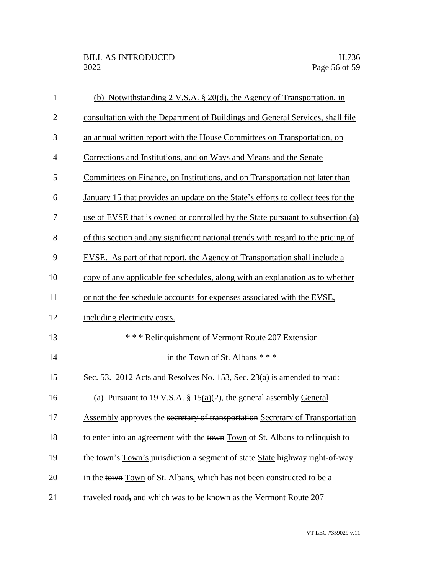| $\mathbf{1}$   | (b) Notwithstanding $2 \text{ V.S.A. } § 20(d)$ , the Agency of Transportation, in |
|----------------|------------------------------------------------------------------------------------|
| $\overline{2}$ | consultation with the Department of Buildings and General Services, shall file     |
| 3              | an annual written report with the House Committees on Transportation, on           |
| $\overline{4}$ | Corrections and Institutions, and on Ways and Means and the Senate                 |
| 5              | Committees on Finance, on Institutions, and on Transportation not later than       |
| 6              | January 15 that provides an update on the State's efforts to collect fees for the  |
| 7              | use of EVSE that is owned or controlled by the State pursuant to subsection (a)    |
| 8              | of this section and any significant national trends with regard to the pricing of  |
| 9              | EVSE. As part of that report, the Agency of Transportation shall include a         |
| 10             | copy of any applicable fee schedules, along with an explanation as to whether      |
| 11             | or not the fee schedule accounts for expenses associated with the EVSE,            |
| 12             | including electricity costs.                                                       |
| 13             | *** Relinquishment of Vermont Route 207 Extension                                  |
| 14             | in the Town of St. Albans * * *                                                    |
| 15             | Sec. 53. 2012 Acts and Resolves No. 153, Sec. 23(a) is amended to read:            |
| 16             | (a) Pursuant to 19 V.S.A. § $15(a)(2)$ , the general assembly General              |
| 17             | Assembly approves the secretary of transportation Secretary of Transportation      |
| 18             | to enter into an agreement with the town Town of St. Albans to relinquish to       |
| 19             | the town's Town's jurisdiction a segment of state State highway right-of-way       |
| 20             | in the town Town of St. Albans, which has not been constructed to be a             |
| 21             | traveled road, and which was to be known as the Vermont Route 207                  |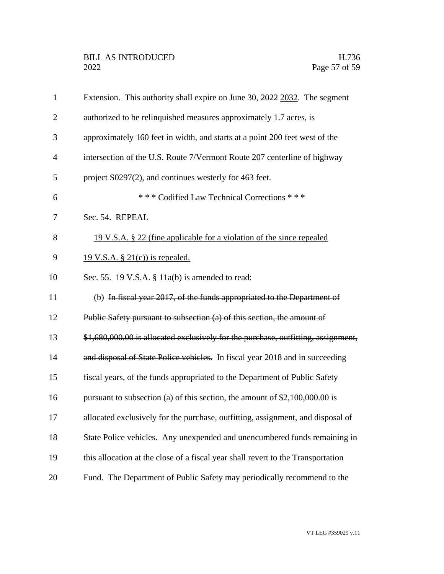| $\mathbf{1}$   | Extension. This authority shall expire on June 30, 2022 2032. The segment         |
|----------------|-----------------------------------------------------------------------------------|
| $\overline{2}$ | authorized to be relinquished measures approximately 1.7 acres, is                |
| 3              | approximately 160 feet in width, and starts at a point 200 feet west of the       |
| $\overline{4}$ | intersection of the U.S. Route 7/Vermont Route 207 centerline of highway          |
| 5              | project $S0297(2)$ , and continues westerly for 463 feet.                         |
| 6              | *** Codified Law Technical Corrections ***                                        |
| 7              | Sec. 54. REPEAL                                                                   |
| 8              | 19 V.S.A. § 22 (fine applicable for a violation of the since repealed             |
| 9              | <u>19 V.S.A. § 21(c)) is repealed.</u>                                            |
| 10             | Sec. 55. 19 V.S.A. $\S$ 11a(b) is amended to read:                                |
| 11             | (b) In fiscal year 2017, of the funds appropriated to the Department of           |
| 12             | Public Safety pursuant to subsection (a) of this section, the amount of           |
| 13             | \$1,680,000.00 is allocated exclusively for the purchase, outfitting, assignment, |
| 14             | and disposal of State Police vehicles. In fiscal year 2018 and in succeeding      |
| 15             | fiscal years, of the funds appropriated to the Department of Public Safety        |
| 16             | pursuant to subsection (a) of this section, the amount of $$2,100,000.00$ is      |
| 17             | allocated exclusively for the purchase, outfitting, assignment, and disposal of   |
| 18             | State Police vehicles. Any unexpended and unencumbered funds remaining in         |
| 19             | this allocation at the close of a fiscal year shall revert to the Transportation  |
| 20             | Fund. The Department of Public Safety may periodically recommend to the           |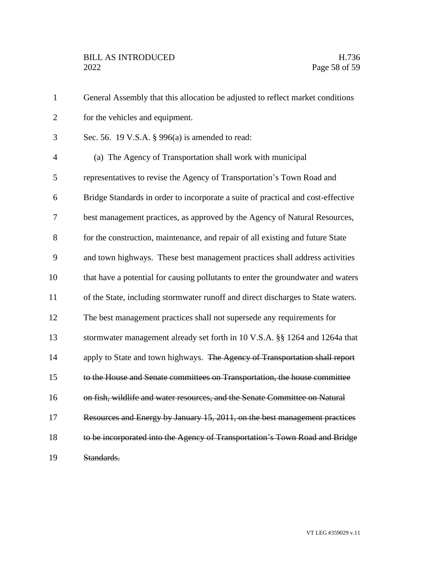| $\mathbf{1}$   | General Assembly that this allocation be adjusted to reflect market conditions   |
|----------------|----------------------------------------------------------------------------------|
| $\overline{2}$ | for the vehicles and equipment.                                                  |
| 3              | Sec. 56. 19 V.S.A. § 996(a) is amended to read:                                  |
| $\overline{4}$ | (a) The Agency of Transportation shall work with municipal                       |
| 5              | representatives to revise the Agency of Transportation's Town Road and           |
| 6              | Bridge Standards in order to incorporate a suite of practical and cost-effective |
| 7              | best management practices, as approved by the Agency of Natural Resources,       |
| 8              | for the construction, maintenance, and repair of all existing and future State   |
| 9              | and town highways. These best management practices shall address activities      |
| 10             | that have a potential for causing pollutants to enter the groundwater and waters |
| 11             | of the State, including stormwater runoff and direct discharges to State waters. |
| 12             | The best management practices shall not supersede any requirements for           |
| 13             | stormwater management already set forth in 10 V.S.A. §§ 1264 and 1264a that      |
| 14             | apply to State and town highways. The Agency of Transportation shall report      |
| 15             | to the House and Senate committees on Transportation, the house committee        |
| 16             | on fish, wildlife and water resources, and the Senate Committee on Natural       |
| 17             | Resources and Energy by January 15, 2011, on the best management practices       |
| 18             | to be incorporated into the Agency of Transportation's Town Road and Bridge      |
| 19             | Standards.                                                                       |